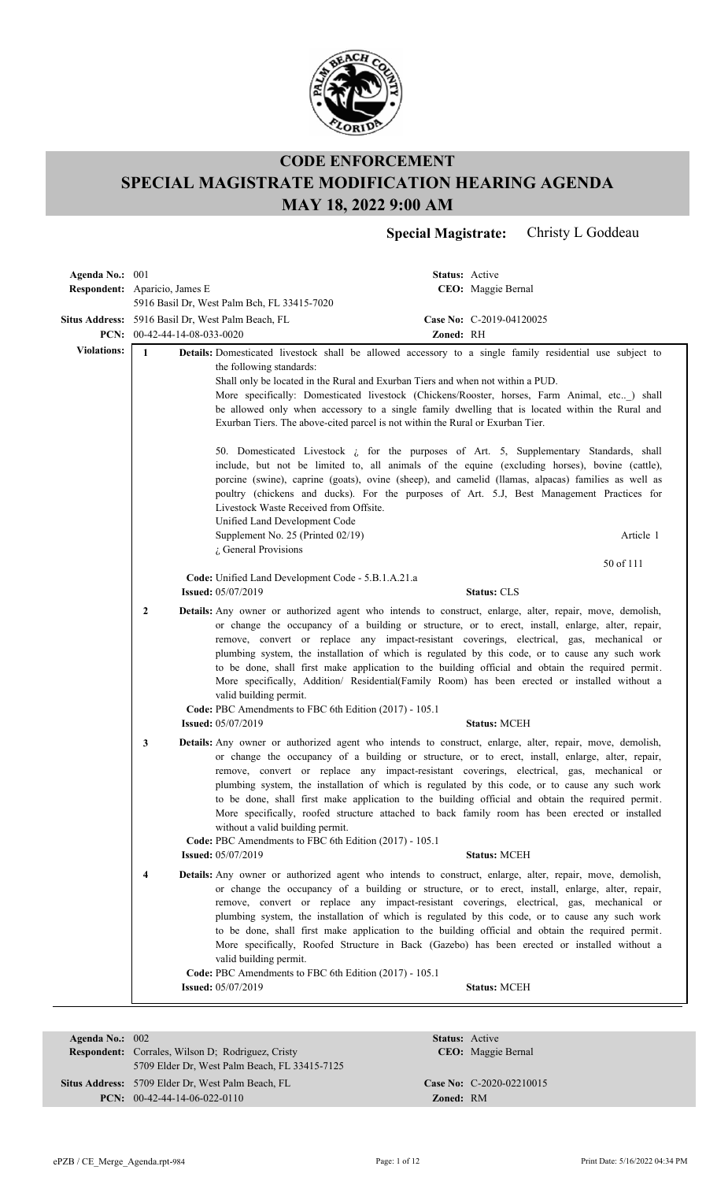

**Special Magistrate:** Christy L Goddeau

| Agenda No.: 001                      |                         |                                                                                                                                                                                               |           | <b>Status:</b> Active                                                                                                                                                                                                                                                                                                                                                                                                                                                                                                                                                                                                                       |
|--------------------------------------|-------------------------|-----------------------------------------------------------------------------------------------------------------------------------------------------------------------------------------------|-----------|---------------------------------------------------------------------------------------------------------------------------------------------------------------------------------------------------------------------------------------------------------------------------------------------------------------------------------------------------------------------------------------------------------------------------------------------------------------------------------------------------------------------------------------------------------------------------------------------------------------------------------------------|
| <b>Respondent:</b> Aparicio, James E |                         |                                                                                                                                                                                               |           | CEO: Maggie Bernal                                                                                                                                                                                                                                                                                                                                                                                                                                                                                                                                                                                                                          |
|                                      |                         | 5916 Basil Dr, West Palm Bch, FL 33415-7020                                                                                                                                                   |           |                                                                                                                                                                                                                                                                                                                                                                                                                                                                                                                                                                                                                                             |
|                                      |                         | Situs Address: 5916 Basil Dr, West Palm Beach, FL                                                                                                                                             |           | Case No: C-2019-04120025                                                                                                                                                                                                                                                                                                                                                                                                                                                                                                                                                                                                                    |
| <b>Violations:</b>                   |                         | PCN: 00-42-44-14-08-033-0020                                                                                                                                                                  | Zoned: RH |                                                                                                                                                                                                                                                                                                                                                                                                                                                                                                                                                                                                                                             |
|                                      | $\mathbf{1}$            | the following standards:<br>Shall only be located in the Rural and Exurban Tiers and when not within a PUD.<br>Exurban Tiers. The above-cited parcel is not within the Rural or Exurban Tier. |           | Details: Domesticated livestock shall be allowed accessory to a single family residential use subject to<br>More specifically: Domesticated livestock (Chickens/Rooster, horses, Farm Animal, etc) shall<br>be allowed only when accessory to a single family dwelling that is located within the Rural and                                                                                                                                                                                                                                                                                                                                 |
|                                      |                         | Livestock Waste Received from Offsite.<br>Unified Land Development Code<br>Supplement No. 25 (Printed 02/19)                                                                                  |           | 50. Domesticated Livestock $\zeta$ for the purposes of Art. 5, Supplementary Standards, shall<br>include, but not be limited to, all animals of the equine (excluding horses), bovine (cattle),<br>porcine (swine), caprine (goats), ovine (sheep), and camelid (llamas, alpacas) families as well as<br>poultry (chickens and ducks). For the purposes of Art. 5.J, Best Management Practices for<br>Article 1                                                                                                                                                                                                                             |
|                                      |                         | $\lambda$ General Provisions                                                                                                                                                                  |           |                                                                                                                                                                                                                                                                                                                                                                                                                                                                                                                                                                                                                                             |
|                                      |                         | Code: Unified Land Development Code - 5.B.1.A.21.a                                                                                                                                            |           | 50 of 111                                                                                                                                                                                                                                                                                                                                                                                                                                                                                                                                                                                                                                   |
|                                      |                         | <b>Issued: 05/07/2019</b>                                                                                                                                                                     |           | <b>Status: CLS</b>                                                                                                                                                                                                                                                                                                                                                                                                                                                                                                                                                                                                                          |
|                                      | $\mathbf{2}$            | valid building permit.<br>Code: PBC Amendments to FBC 6th Edition (2017) - 105.1                                                                                                              |           | <b>Details:</b> Any owner or authorized agent who intends to construct, enlarge, alter, repair, move, demolish,<br>or change the occupancy of a building or structure, or to erect, install, enlarge, alter, repair,<br>remove, convert or replace any impact-resistant coverings, electrical, gas, mechanical or<br>plumbing system, the installation of which is regulated by this code, or to cause any such work<br>to be done, shall first make application to the building official and obtain the required permit.<br>More specifically, Addition/ Residential(Family Room) has been erected or installed without a                  |
|                                      |                         | <b>Issued: 05/07/2019</b>                                                                                                                                                                     |           | <b>Status: MCEH</b>                                                                                                                                                                                                                                                                                                                                                                                                                                                                                                                                                                                                                         |
|                                      | 3                       | without a valid building permit.<br>Code: PBC Amendments to FBC 6th Edition (2017) - 105.1<br><b>Issued: 05/07/2019</b>                                                                       |           | Details: Any owner or authorized agent who intends to construct, enlarge, alter, repair, move, demolish,<br>or change the occupancy of a building or structure, or to erect, install, enlarge, alter, repair,<br>remove, convert or replace any impact-resistant coverings, electrical, gas, mechanical or<br>plumbing system, the installation of which is regulated by this code, or to cause any such work<br>to be done, shall first make application to the building official and obtain the required permit.<br>More specifically, roofed structure attached to back family room has been erected or installed<br><b>Status: MCEH</b> |
|                                      | $\overline{\mathbf{4}}$ |                                                                                                                                                                                               |           | Details: Any owner or authorized agent who intends to construct, enlarge, alter, repair, move, demolish,                                                                                                                                                                                                                                                                                                                                                                                                                                                                                                                                    |
|                                      |                         | valid building permit.<br>Code: PBC Amendments to FBC 6th Edition (2017) - 105.1                                                                                                              |           | or change the occupancy of a building or structure, or to erect, install, enlarge, alter, repair,<br>remove, convert or replace any impact-resistant coverings, electrical, gas, mechanical or<br>plumbing system, the installation of which is regulated by this code, or to cause any such work<br>to be done, shall first make application to the building official and obtain the required permit.<br>More specifically, Roofed Structure in Back (Gazebo) has been erected or installed without a                                                                                                                                      |
|                                      |                         | <b>Issued: 05/07/2019</b>                                                                                                                                                                     |           | <b>Status: MCEH</b>                                                                                                                                                                                                                                                                                                                                                                                                                                                                                                                                                                                                                         |
|                                      |                         |                                                                                                                                                                                               |           |                                                                                                                                                                                                                                                                                                                                                                                                                                                                                                                                                                                                                                             |

| Agenda No.: $002$ |                                                          |                  | <b>Status:</b> Active      |
|-------------------|----------------------------------------------------------|------------------|----------------------------|
|                   | <b>Respondent:</b> Corrales, Wilson D; Rodriguez, Cristy |                  | CEO: Maggie Bernal         |
|                   | 5709 Elder Dr. West Palm Beach, FL 33415-7125            |                  |                            |
|                   | Situs Address: 5709 Elder Dr. West Palm Beach, FL        |                  | Case No: $C-2020-02210015$ |
|                   | $PCN: 00-42-44-14-06-022-0110$                           | <b>Zoned: RM</b> |                            |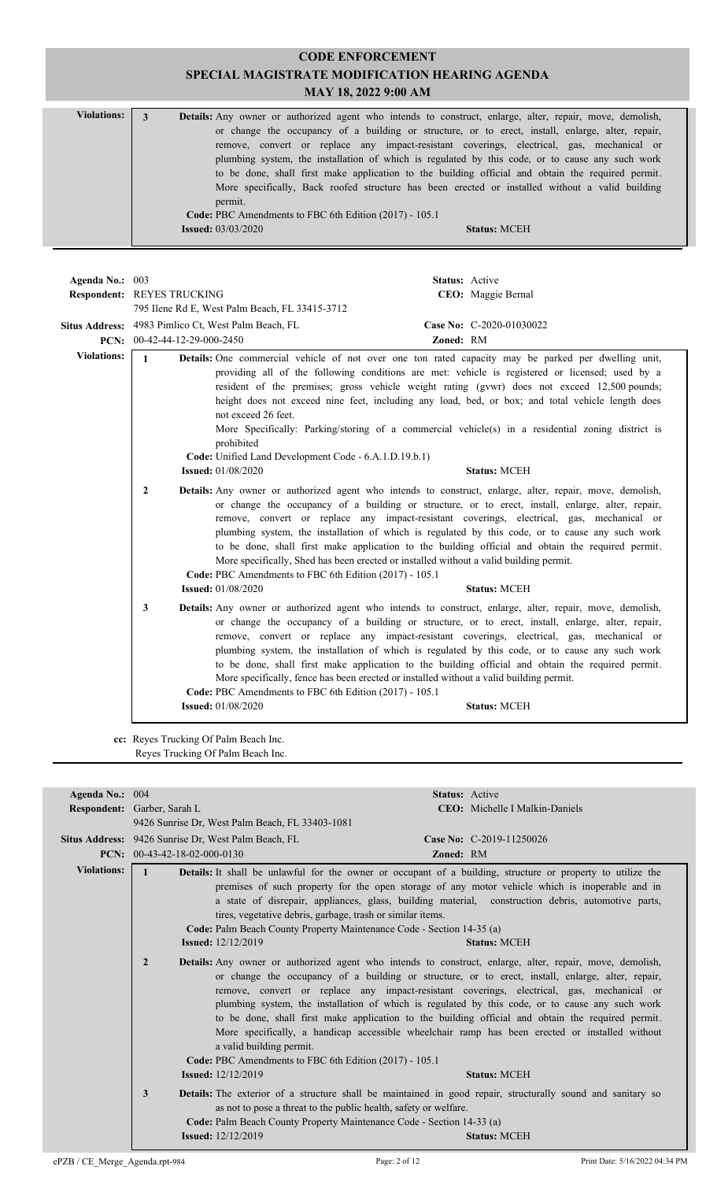| <b>Violations:</b> | Details: Any owner or authorized agent who intends to construct, enlarge, alter, repair, move, demolish, |  |
|--------------------|----------------------------------------------------------------------------------------------------------|--|
|                    | or change the occupancy of a building or structure, or to erect, install, enlarge, alter, repair,        |  |
|                    | remove, convert or replace any impact-resistant coverings, electrical, gas, mechanical or                |  |
|                    | plumbing system, the installation of which is regulated by this code, or to cause any such work          |  |
|                    | to be done, shall first make application to the building official and obtain the required permit.        |  |
|                    | More specifically, Back roofed structure has been erected or installed without a valid building          |  |
|                    | permit.                                                                                                  |  |
|                    | Code: PBC Amendments to FBC 6th Edition (2017) - 105.1                                                   |  |
|                    | <b>Issued:</b> $03/03/2020$<br><b>Status: MCEH</b>                                                       |  |
|                    |                                                                                                          |  |

| Agenda No.: 003    | <b>Respondent: REYES TRUCKING</b> |                                                                                                                                                                               | Status: Active<br>CEO: Maggie Bernal                                                                                                                                                                                                                                                                                                                                                                                                                                                                                                      |
|--------------------|-----------------------------------|-------------------------------------------------------------------------------------------------------------------------------------------------------------------------------|-------------------------------------------------------------------------------------------------------------------------------------------------------------------------------------------------------------------------------------------------------------------------------------------------------------------------------------------------------------------------------------------------------------------------------------------------------------------------------------------------------------------------------------------|
|                    |                                   | 795 Ilene Rd E, West Palm Beach, FL 33415-3712                                                                                                                                |                                                                                                                                                                                                                                                                                                                                                                                                                                                                                                                                           |
|                    |                                   | Situs Address: 4983 Pimlico Ct, West Palm Beach, FL                                                                                                                           | Case No: C-2020-01030022                                                                                                                                                                                                                                                                                                                                                                                                                                                                                                                  |
|                    | PCN: 00-42-44-12-29-000-2450      |                                                                                                                                                                               | Zoned: RM                                                                                                                                                                                                                                                                                                                                                                                                                                                                                                                                 |
| <b>Violations:</b> | $\mathbf{1}$                      | not exceed 26 feet.<br>prohibited<br>Code: Unified Land Development Code - 6.A.1.D.19.b.1)<br><b>Issued:</b> 01/08/2020                                                       | Details: One commercial vehicle of not over one ton rated capacity may be parked per dwelling unit,<br>providing all of the following conditions are met: vehicle is registered or licensed; used by a<br>resident of the premises; gross vehicle weight rating (gvwr) does not exceed 12,500 pounds;<br>height does not exceed nine feet, including any load, bed, or box; and total vehicle length does<br>More Specifically: Parking/storing of a commercial vehicle(s) in a residential zoning district is<br><b>Status: MCEH</b>     |
|                    | $\overline{2}$                    | More specifically, Shed has been erected or installed without a valid building permit.<br>Code: PBC Amendments to FBC 6th Edition (2017) - 105.1<br><b>Issued:</b> 01/08/2020 | Details: Any owner or authorized agent who intends to construct, enlarge, alter, repair, move, demolish,<br>or change the occupancy of a building or structure, or to erect, install, enlarge, alter, repair,<br>remove, convert or replace any impact-resistant coverings, electrical, gas, mechanical or<br>plumbing system, the installation of which is regulated by this code, or to cause any such work<br>to be done, shall first make application to the building official and obtain the required permit.<br><b>Status: MCEH</b> |
|                    | 3                                 | More specifically, fence has been erected or installed without a valid building permit.<br>Code: PBC Amendments to FBC 6th Edition (2017) - 105.1                             | Details: Any owner or authorized agent who intends to construct, enlarge, alter, repair, move, demolish,<br>or change the occupancy of a building or structure, or to erect, install, enlarge, alter, repair,<br>remove, convert or replace any impact-resistant coverings, electrical, gas, mechanical or<br>plumbing system, the installation of which is regulated by this code, or to cause any such work<br>to be done, shall first make application to the building official and obtain the required permit.                        |
|                    |                                   | <b>Issued:</b> 01/08/2020                                                                                                                                                     | <b>Status: MCEH</b>                                                                                                                                                                                                                                                                                                                                                                                                                                                                                                                       |
|                    |                                   |                                                                                                                                                                               |                                                                                                                                                                                                                                                                                                                                                                                                                                                                                                                                           |

**cc:** Reyes Trucking Of Palm Beach Inc. Reyes Trucking Of Palm Beach Inc.

| Agenda No.: 004    |                                                                                                                                                                             | <b>Status:</b> Active                                                                                                                                                                                                                                                                                                                                                                                                                                                                                                                                                                                                                              |
|--------------------|-----------------------------------------------------------------------------------------------------------------------------------------------------------------------------|----------------------------------------------------------------------------------------------------------------------------------------------------------------------------------------------------------------------------------------------------------------------------------------------------------------------------------------------------------------------------------------------------------------------------------------------------------------------------------------------------------------------------------------------------------------------------------------------------------------------------------------------------|
|                    | <b>Respondent:</b> Garber, Sarah L.                                                                                                                                         | <b>CEO:</b> Michelle I Malkin-Daniels                                                                                                                                                                                                                                                                                                                                                                                                                                                                                                                                                                                                              |
|                    | 9426 Sunrise Dr. West Palm Beach, FL 33403-1081                                                                                                                             |                                                                                                                                                                                                                                                                                                                                                                                                                                                                                                                                                                                                                                                    |
|                    |                                                                                                                                                                             |                                                                                                                                                                                                                                                                                                                                                                                                                                                                                                                                                                                                                                                    |
|                    | Situs Address: 9426 Sunrise Dr. West Palm Beach, FL                                                                                                                         | Case No: C-2019-11250026                                                                                                                                                                                                                                                                                                                                                                                                                                                                                                                                                                                                                           |
|                    | <b>PCN:</b> $00-43-42-18-02-000-0130$                                                                                                                                       | Zoned: RM                                                                                                                                                                                                                                                                                                                                                                                                                                                                                                                                                                                                                                          |
| <b>Violations:</b> | $\mathbf{1}$<br>tires, vegetative debris, garbage, trash or similar items.                                                                                                  | Details: It shall be unlawful for the owner or occupant of a building, structure or property to utilize the<br>premises of such property for the open storage of any motor vehicle which is inoperable and in<br>a state of disrepair, appliances, glass, building material, construction debris, automotive parts,                                                                                                                                                                                                                                                                                                                                |
|                    | Code: Palm Beach County Property Maintenance Code - Section 14-35 (a)                                                                                                       |                                                                                                                                                                                                                                                                                                                                                                                                                                                                                                                                                                                                                                                    |
|                    | <b>Issued:</b> 12/12/2019                                                                                                                                                   | <b>Status: MCEH</b>                                                                                                                                                                                                                                                                                                                                                                                                                                                                                                                                                                                                                                |
|                    | $\overline{2}$<br>a valid building permit.<br>Code: PBC Amendments to FBC 6th Edition (2017) - 105.1<br><b>Issued:</b> $12/12/2019$                                         | <b>Details:</b> Any owner or authorized agent who intends to construct, enlarge, alter, repair, move, demolish,<br>or change the occupancy of a building or structure, or to erect, install, enlarge, alter, repair,<br>remove, convert or replace any impact-resistant coverings, electrical, gas, mechanical or<br>plumbing system, the installation of which is regulated by this code, or to cause any such work<br>to be done, shall first make application to the building official and obtain the required permit.<br>More specifically, a handicap accessible wheelchair ramp has been erected or installed without<br><b>Status: MCEH</b> |
|                    |                                                                                                                                                                             |                                                                                                                                                                                                                                                                                                                                                                                                                                                                                                                                                                                                                                                    |
|                    | 3<br>as not to pose a threat to the public health, safety or welfare.<br>Code: Palm Beach County Property Maintenance Code - Section 14-33 (a)<br><b>Issued:</b> 12/12/2019 | <b>Details:</b> The exterior of a structure shall be maintained in good repair, structurally sound and sanitary so<br><b>Status: MCEH</b>                                                                                                                                                                                                                                                                                                                                                                                                                                                                                                          |
|                    |                                                                                                                                                                             |                                                                                                                                                                                                                                                                                                                                                                                                                                                                                                                                                                                                                                                    |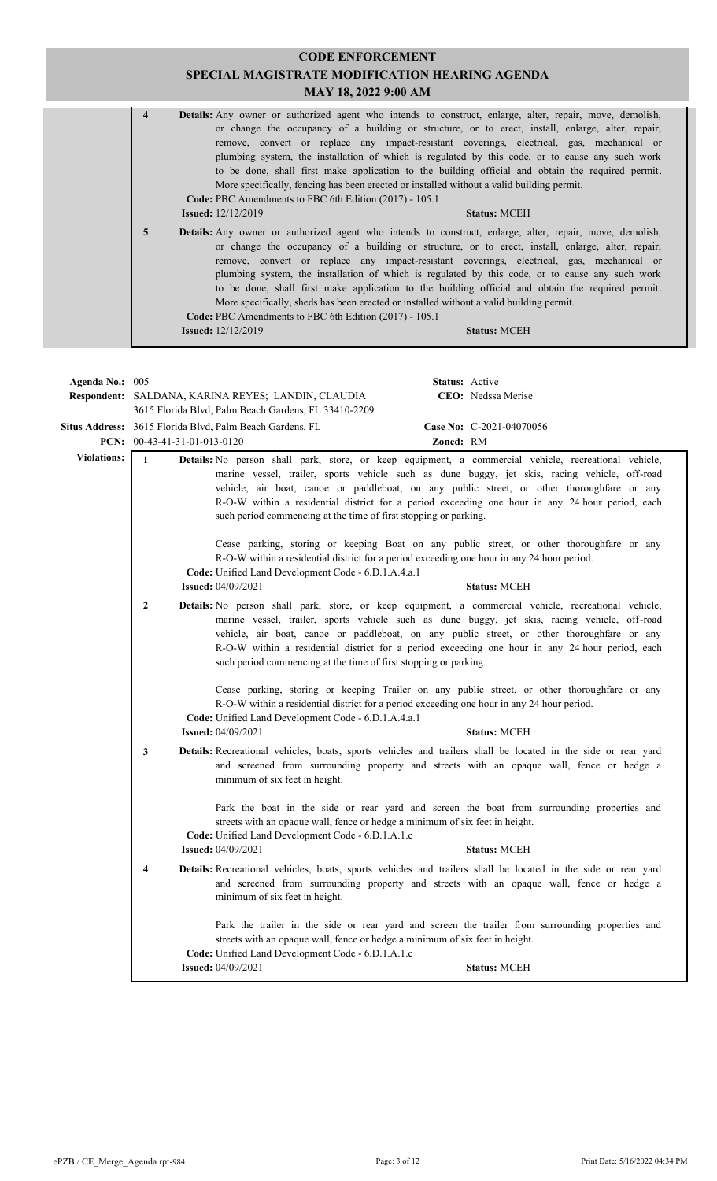|                    |                |                                                                                                                                                                        | <b>CODE ENFORCEMENT</b><br>SPECIAL MAGISTRATE MODIFICATION HEARING AGENDA<br>MAY 18, 2022 9:00 AM                                                                                                                                                                                                                                                                                                                                                                                                                                                                                                                                      |  |
|--------------------|----------------|------------------------------------------------------------------------------------------------------------------------------------------------------------------------|----------------------------------------------------------------------------------------------------------------------------------------------------------------------------------------------------------------------------------------------------------------------------------------------------------------------------------------------------------------------------------------------------------------------------------------------------------------------------------------------------------------------------------------------------------------------------------------------------------------------------------------|--|
|                    | $\overline{4}$ | Code: PBC Amendments to FBC 6th Edition (2017) - 105.1<br><b>Issued:</b> $12/12/2019$                                                                                  | Details: Any owner or authorized agent who intends to construct, enlarge, alter, repair, move, demolish,<br>or change the occupancy of a building or structure, or to erect, install, enlarge, alter, repair,<br>remove, convert or replace any impact-resistant coverings, electrical, gas, mechanical or<br>plumbing system, the installation of which is regulated by this code, or to cause any such work<br>to be done, shall first make application to the building official and obtain the required permit.<br>More specifically, fencing has been erected or installed without a valid building permit.<br><b>Status: MCEH</b> |  |
|                    | 5              | Code: PBC Amendments to FBC 6th Edition (2017) - 105.1<br><b>Issued:</b> 12/12/2019                                                                                    | Details: Any owner or authorized agent who intends to construct, enlarge, alter, repair, move, demolish,<br>or change the occupancy of a building or structure, or to erect, install, enlarge, alter, repair,<br>remove, convert or replace any impact-resistant coverings, electrical, gas, mechanical or<br>plumbing system, the installation of which is regulated by this code, or to cause any such work<br>to be done, shall first make application to the building official and obtain the required permit.<br>More specifically, sheds has been erected or installed without a valid building permit.<br><b>Status: MCEH</b>   |  |
|                    |                |                                                                                                                                                                        |                                                                                                                                                                                                                                                                                                                                                                                                                                                                                                                                                                                                                                        |  |
| Agenda No.: 005    |                | Respondent: SALDANA, KARINA REYES; LANDIN, CLAUDIA<br>3615 Florida Blvd, Palm Beach Gardens, FL 33410-2209<br>Situs Address: 3615 Florida Blvd, Palm Beach Gardens, FL | Status: Active<br>CEO: Nedssa Merise<br>Case No: C-2021-04070056                                                                                                                                                                                                                                                                                                                                                                                                                                                                                                                                                                       |  |
|                    |                | PCN: $00-43-41-31-01-013-0120$                                                                                                                                         | Zoned: RM                                                                                                                                                                                                                                                                                                                                                                                                                                                                                                                                                                                                                              |  |
| <b>Violations:</b> | $\mathbf{1}$   | such period commencing at the time of first stopping or parking.<br>Code: Unified Land Development Code - 6.D.1.A.4.a.1                                                | Details: No person shall park, store, or keep equipment, a commercial vehicle, recreational vehicle,<br>marine vessel, trailer, sports vehicle such as dune buggy, jet skis, racing vehicle, off-road<br>vehicle, air boat, canoe or paddleboat, on any public street, or other thoroughfare or any<br>R-O-W within a residential district for a period exceeding one hour in any 24 hour period, each<br>Cease parking, storing or keeping Boat on any public street, or other thoroughfare or any<br>R-O-W within a residential district for a period exceeding one hour in any 24 hour period.                                      |  |
|                    |                | <b>Issued: 04/09/2021</b>                                                                                                                                              | <b>Status: MCEH</b>                                                                                                                                                                                                                                                                                                                                                                                                                                                                                                                                                                                                                    |  |
|                    | $\overline{2}$ | such period commencing at the time of first stopping or parking.                                                                                                       | Details: No person shall park, store, or keep equipment, a commercial vehicle, recreational vehicle,<br>marine vessel, trailer, sports vehicle such as dune buggy, jet skis, racing vehicle, off-road<br>vehicle, air boat, canoe or paddleboat, on any public street, or other thoroughfare or any<br>R-O-W within a residential district for a period exceeding one hour in any 24 hour period, each                                                                                                                                                                                                                                 |  |
|                    |                | Code: Unified Land Development Code - 6.D.1.A.4.a.1<br><b>Issued: 04/09/2021</b>                                                                                       | Cease parking, storing or keeping Trailer on any public street, or other thoroughfare or any<br>R-O-W within a residential district for a period exceeding one hour in any 24 hour period.<br><b>Status: MCEH</b>                                                                                                                                                                                                                                                                                                                                                                                                                      |  |
|                    | 3              | minimum of six feet in height.                                                                                                                                         | Details: Recreational vehicles, boats, sports vehicles and trailers shall be located in the side or rear yard<br>and screened from surrounding property and streets with an opaque wall, fence or hedge a                                                                                                                                                                                                                                                                                                                                                                                                                              |  |

Park the boat in the side or rear yard and screen the boat from surrounding properties and streets with an opaque wall, fence or hedge a minimum of six feet in height.

**Code:** Unified Land Development Code - 6.D.1.A.1.c **Issued:** 04/09/2021 **Status:** MCEH

Recreational vehicles, boats, sports vehicles and trailers shall be located in the side or rear yard  **4 Details:** and screened from surrounding property and streets with an opaque wall, fence or hedge a minimum of six feet in height.

Park the trailer in the side or rear yard and screen the trailer from surrounding properties and streets with an opaque wall, fence or hedge a minimum of six feet in height. **Code:** Unified Land Development Code - 6.D.1.A.1.c **Issued:** 04/09/2021 **Status:** MCEH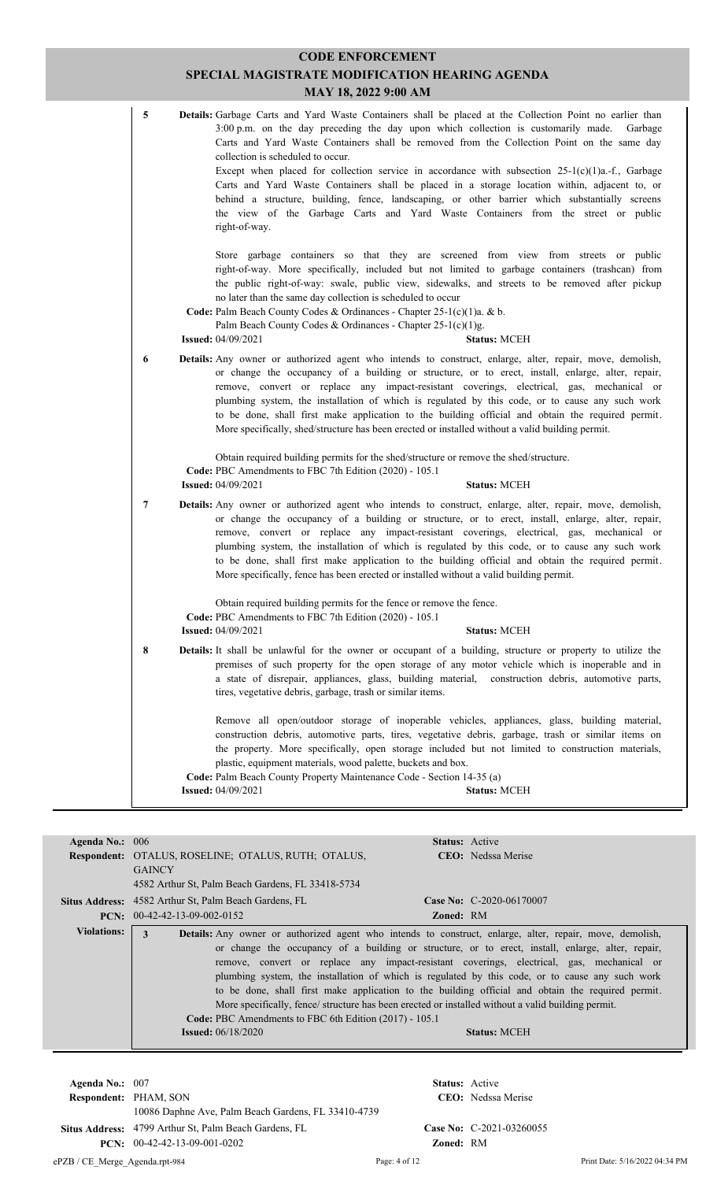| 5 | Details: Garbage Carts and Yard Waste Containers shall be placed at the Collection Point no earlier than<br>3:00 p.m. on the day preceding the day upon which collection is customarily made.<br>Garbage<br>Carts and Yard Waste Containers shall be removed from the Collection Point on the same day<br>collection is scheduled to occur.<br>Except when placed for collection service in accordance with subsection $25-1(c)(1)a$ .-f., Garbage<br>Carts and Yard Waste Containers shall be placed in a storage location within, adjacent to, or<br>behind a structure, building, fence, landscaping, or other barrier which substantially screens<br>the view of the Garbage Carts and Yard Waste Containers from the street or public<br>right-of-way. |
|---|-------------------------------------------------------------------------------------------------------------------------------------------------------------------------------------------------------------------------------------------------------------------------------------------------------------------------------------------------------------------------------------------------------------------------------------------------------------------------------------------------------------------------------------------------------------------------------------------------------------------------------------------------------------------------------------------------------------------------------------------------------------|
|   | Store garbage containers so that they are screened from view from streets or public<br>right-of-way. More specifically, included but not limited to garbage containers (trashcan) from<br>the public right-of-way: swale, public view, sidewalks, and streets to be removed after pickup<br>no later than the same day collection is scheduled to occur<br>Code: Palm Beach County Codes & Ordinances - Chapter 25-1(c)(1)a. & b.<br>Palm Beach County Codes & Ordinances - Chapter 25-1(c)(1)g.<br><b>Issued: 04/09/2021</b><br><b>Status: MCEH</b>                                                                                                                                                                                                        |
| 6 | Details: Any owner or authorized agent who intends to construct, enlarge, alter, repair, move, demolish,<br>or change the occupancy of a building or structure, or to erect, install, enlarge, alter, repair,<br>remove, convert or replace any impact-resistant coverings, electrical, gas, mechanical or<br>plumbing system, the installation of which is regulated by this code, or to cause any such work<br>to be done, shall first make application to the building official and obtain the required permit.<br>More specifically, shed/structure has been erected or installed without a valid building permit.                                                                                                                                      |
|   | Obtain required building permits for the shed/structure or remove the shed/structure.<br>Code: PBC Amendments to FBC 7th Edition (2020) - 105.1<br><b>Issued: 04/09/2021</b><br><b>Status: MCEH</b>                                                                                                                                                                                                                                                                                                                                                                                                                                                                                                                                                         |
| 7 | Details: Any owner or authorized agent who intends to construct, enlarge, alter, repair, move, demolish,<br>or change the occupancy of a building or structure, or to erect, install, enlarge, alter, repair,<br>remove, convert or replace any impact-resistant coverings, electrical, gas, mechanical or<br>plumbing system, the installation of which is regulated by this code, or to cause any such work<br>to be done, shall first make application to the building official and obtain the required permit.<br>More specifically, fence has been erected or installed without a valid building permit.                                                                                                                                               |
|   | Obtain required building permits for the fence or remove the fence.<br>Code: PBC Amendments to FBC 7th Edition (2020) - 105.1<br><b>Issued: 04/09/2021</b><br><b>Status: MCEH</b>                                                                                                                                                                                                                                                                                                                                                                                                                                                                                                                                                                           |
| 8 | Details: It shall be unlawful for the owner or occupant of a building, structure or property to utilize the<br>premises of such property for the open storage of any motor vehicle which is inoperable and in<br>a state of disrepair, appliances, glass, building material, construction debris, automotive parts,<br>tires, vegetative debris, garbage, trash or similar items.                                                                                                                                                                                                                                                                                                                                                                           |
|   | Remove all open/outdoor storage of inoperable vehicles, appliances, glass, building material,<br>construction debris, automotive parts, tires, vegetative debris, garbage, trash or similar items on<br>the property. More specifically, open storage included but not limited to construction materials,                                                                                                                                                                                                                                                                                                                                                                                                                                                   |

| Agenda No.: 006                          |                                                                                                                                                                                                  |                  | <b>Status:</b> Active                                                                                                                                                                                                                                                                                                                                                                                                                                                                                                                     |
|------------------------------------------|--------------------------------------------------------------------------------------------------------------------------------------------------------------------------------------------------|------------------|-------------------------------------------------------------------------------------------------------------------------------------------------------------------------------------------------------------------------------------------------------------------------------------------------------------------------------------------------------------------------------------------------------------------------------------------------------------------------------------------------------------------------------------------|
|                                          | Respondent: OTALUS, ROSELINE; OTALUS, RUTH; OTALUS,                                                                                                                                              |                  | <b>CEO</b> : Nedssa Merise                                                                                                                                                                                                                                                                                                                                                                                                                                                                                                                |
|                                          | <b>GAINCY</b>                                                                                                                                                                                    |                  |                                                                                                                                                                                                                                                                                                                                                                                                                                                                                                                                           |
|                                          | 4582 Arthur St, Palm Beach Gardens, FL 33418-5734                                                                                                                                                |                  |                                                                                                                                                                                                                                                                                                                                                                                                                                                                                                                                           |
|                                          | <b>Situs Address:</b> 4582 Arthur St, Palm Beach Gardens, FL                                                                                                                                     |                  | Case No: C-2020-06170007                                                                                                                                                                                                                                                                                                                                                                                                                                                                                                                  |
|                                          | <b>PCN:</b> $00-42-42-13-09-002-0152$                                                                                                                                                            | <b>Zoned: RM</b> |                                                                                                                                                                                                                                                                                                                                                                                                                                                                                                                                           |
| <b>Violations:</b>                       | 3<br>More specifically, fence/ structure has been erected or installed without a valid building permit.<br>Code: PBC Amendments to FBC 6th Edition (2017) - 105.1<br><b>Issued:</b> $06/18/2020$ |                  | Details: Any owner or authorized agent who intends to construct, enlarge, alter, repair, move, demolish,<br>or change the occupancy of a building or structure, or to erect, install, enlarge, alter, repair,<br>remove, convert or replace any impact-resistant coverings, electrical, gas, mechanical or<br>plumbing system, the installation of which is regulated by this code, or to cause any such work<br>to be done, shall first make application to the building official and obtain the required permit.<br><b>Status: MCEH</b> |
| Agenda No.: 007<br>Respondent: PHAM, SON | 10086 Daphne Ave, Palm Beach Gardens, FL 33410-4739                                                                                                                                              |                  | <b>Status:</b> Active<br><b>CEO</b> : Nedssa Merise                                                                                                                                                                                                                                                                                                                                                                                                                                                                                       |

Situs Address: 4799 Arthur St, Palm Beach Gardens, FL **Case No:** C-2021-03260055

ePZB / CE\_Merge\_Agenda.rpt-984 Page: 4 of 12 Print Date: 5/16/2022 04:34 PM

**PCN:** 00-42-42-13-09-001-0202 **Zoned:** RM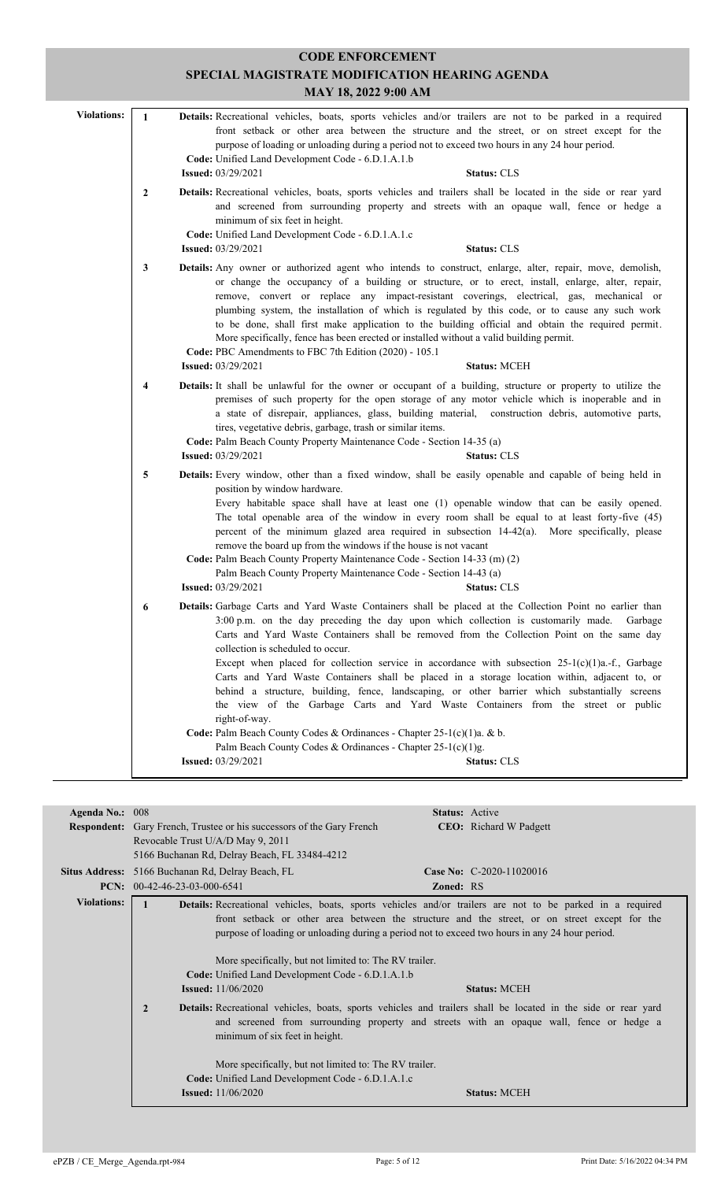|                    |                | <b>CODE ENFORCEMENT</b>                                                                                                                                                                                                                                                                                                                                                                                                                                                                                                                                                                                                                                                                                                                                                                                                                                                                                                                                 |
|--------------------|----------------|---------------------------------------------------------------------------------------------------------------------------------------------------------------------------------------------------------------------------------------------------------------------------------------------------------------------------------------------------------------------------------------------------------------------------------------------------------------------------------------------------------------------------------------------------------------------------------------------------------------------------------------------------------------------------------------------------------------------------------------------------------------------------------------------------------------------------------------------------------------------------------------------------------------------------------------------------------|
|                    |                | SPECIAL MAGISTRATE MODIFICATION HEARING AGENDA                                                                                                                                                                                                                                                                                                                                                                                                                                                                                                                                                                                                                                                                                                                                                                                                                                                                                                          |
|                    |                | MAY 18, 2022 9:00 AM                                                                                                                                                                                                                                                                                                                                                                                                                                                                                                                                                                                                                                                                                                                                                                                                                                                                                                                                    |
| <b>Violations:</b> | $\mathbf{1}$   | Details: Recreational vehicles, boats, sports vehicles and/or trailers are not to be parked in a required<br>front setback or other area between the structure and the street, or on street except for the<br>purpose of loading or unloading during a period not to exceed two hours in any 24 hour period.<br>Code: Unified Land Development Code - 6.D.1.A.1.b<br><b>Issued:</b> 03/29/2021<br><b>Status: CLS</b>                                                                                                                                                                                                                                                                                                                                                                                                                                                                                                                                    |
|                    | $\overline{2}$ | Details: Recreational vehicles, boats, sports vehicles and trailers shall be located in the side or rear yard<br>and screened from surrounding property and streets with an opaque wall, fence or hedge a<br>minimum of six feet in height.<br>Code: Unified Land Development Code - 6.D.1.A.1.c<br><b>Issued:</b> 03/29/2021<br><b>Status: CLS</b>                                                                                                                                                                                                                                                                                                                                                                                                                                                                                                                                                                                                     |
|                    | 3              | Details: Any owner or authorized agent who intends to construct, enlarge, alter, repair, move, demolish,<br>or change the occupancy of a building or structure, or to erect, install, enlarge, alter, repair,<br>remove, convert or replace any impact-resistant coverings, electrical, gas, mechanical or<br>plumbing system, the installation of which is regulated by this code, or to cause any such work<br>to be done, shall first make application to the building official and obtain the required permit.<br>More specifically, fence has been erected or installed without a valid building permit.<br>Code: PBC Amendments to FBC 7th Edition (2020) - 105.1<br><b>Issued:</b> 03/29/2021<br><b>Status: MCEH</b>                                                                                                                                                                                                                             |
|                    | 4              | Details: It shall be unlawful for the owner or occupant of a building, structure or property to utilize the<br>premises of such property for the open storage of any motor vehicle which is inoperable and in<br>a state of disrepair, appliances, glass, building material, construction debris, automotive parts,<br>tires, vegetative debris, garbage, trash or similar items.<br>Code: Palm Beach County Property Maintenance Code - Section 14-35 (a)<br><b>Issued:</b> 03/29/2021<br><b>Status: CLS</b>                                                                                                                                                                                                                                                                                                                                                                                                                                           |
|                    | 5              | Details: Every window, other than a fixed window, shall be easily openable and capable of being held in<br>position by window hardware.<br>Every habitable space shall have at least one (1) openable window that can be easily opened.<br>The total openable area of the window in every room shall be equal to at least forty-five (45)<br>percent of the minimum glazed area required in subsection 14-42(a). More specifically, please<br>remove the board up from the windows if the house is not vacant<br>Code: Palm Beach County Property Maintenance Code - Section 14-33 (m) (2)<br>Palm Beach County Property Maintenance Code - Section 14-43 (a)<br><b>Issued:</b> 03/29/2021<br><b>Status: CLS</b>                                                                                                                                                                                                                                        |
|                    | 6              | Details: Garbage Carts and Yard Waste Containers shall be placed at the Collection Point no earlier than<br>3:00 p.m. on the day preceding the day upon which collection is customarily made.<br>Garbage<br>Carts and Yard Waste Containers shall be removed from the Collection Point on the same day<br>collection is scheduled to occur.<br>Except when placed for collection service in accordance with subsection $25-1(c)(1)a$ .-f., Garbage<br>Carts and Yard Waste Containers shall be placed in a storage location within, adjacent to, or<br>behind a structure, building, fence, landscaping, or other barrier which substantially screens<br>the view of the Garbage Carts and Yard Waste Containers from the street or public<br>right-of-way.<br>Code: Palm Beach County Codes & Ordinances - Chapter 25-1(c)(1)a. & b.<br>Palm Beach County Codes & Ordinances - Chapter 25-1(c)(1)g.<br><b>Issued: 03/29/2021</b><br><b>Status: CLS</b> |

| <b>Agenda No.:</b> | 008                               |                                                                                                | Status: Active   |                                                                                                                      |
|--------------------|-----------------------------------|------------------------------------------------------------------------------------------------|------------------|----------------------------------------------------------------------------------------------------------------------|
|                    |                                   | <b>Respondent:</b> Gary French, Trustee or his successors of the Gary French                   |                  | <b>CEO</b> : Richard W Padgett                                                                                       |
|                    | Revocable Trust U/A/D May 9, 2011 |                                                                                                |                  |                                                                                                                      |
|                    |                                   | 5166 Buchanan Rd, Delray Beach, FL 33484-4212                                                  |                  |                                                                                                                      |
|                    |                                   |                                                                                                |                  | Case No: C-2020-11020016                                                                                             |
|                    |                                   | Situs Address: 5166 Buchanan Rd, Delray Beach, FL                                              |                  |                                                                                                                      |
| PCN:               | $00-42-46-23-03-000-6541$         |                                                                                                | <b>Zoned: RS</b> |                                                                                                                      |
| <b>Violations:</b> |                                   |                                                                                                |                  | <b>Details:</b> Recreational vehicles, boats, sports vehicles and/or trailers are not to be parked in a required     |
|                    |                                   |                                                                                                |                  | front setback or other area between the structure and the street, or on street except for the                        |
|                    |                                   | purpose of loading or unloading during a period not to exceed two hours in any 24 hour period. |                  |                                                                                                                      |
|                    |                                   |                                                                                                |                  |                                                                                                                      |
|                    |                                   |                                                                                                |                  |                                                                                                                      |
|                    |                                   | More specifically, but not limited to: The RV trailer.                                         |                  |                                                                                                                      |
|                    |                                   | Code: Unified Land Development Code - 6.D.1.A.1.b                                              |                  |                                                                                                                      |
|                    |                                   | <b>Issued:</b> $11/06/2020$                                                                    |                  | <b>Status: MCEH</b>                                                                                                  |
|                    |                                   |                                                                                                |                  |                                                                                                                      |
|                    | $\overline{2}$                    |                                                                                                |                  | <b>Details:</b> Recreational vehicles, boats, sports vehicles and trailers shall be located in the side or rear yard |
|                    |                                   |                                                                                                |                  | and screened from surrounding property and streets with an opaque wall, fence or hedge a                             |
|                    |                                   | minimum of six feet in height.                                                                 |                  |                                                                                                                      |
|                    |                                   |                                                                                                |                  |                                                                                                                      |
|                    |                                   | More specifically, but not limited to: The RV trailer.                                         |                  |                                                                                                                      |
|                    |                                   | Code: Unified Land Development Code - 6.D.1.A.1.c                                              |                  |                                                                                                                      |
|                    |                                   | <b>Issued:</b> 11/06/2020                                                                      |                  | <b>Status: MCEH</b>                                                                                                  |
|                    |                                   |                                                                                                |                  |                                                                                                                      |
|                    |                                   |                                                                                                |                  |                                                                                                                      |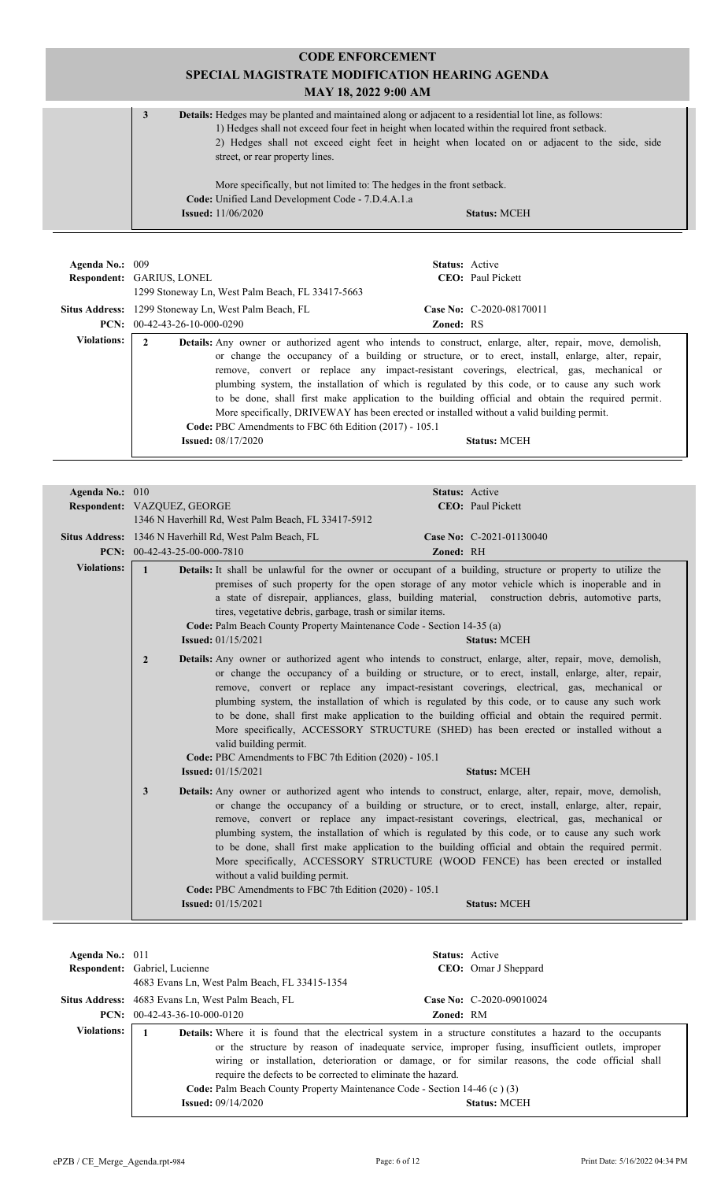**CODE ENFORCEMENT SPECIAL MAGISTRATE MODIFICATION HEARING AGENDA MAY 18, 2022 9:00 AM 3 Details:** Hedges may be planted and maintained along or adjacent to a residential lot line, as follows: 1) Hedges shall not exceed four feet in height when located within the required front setback. 2) Hedges shall not exceed eight feet in height when located on or adjacent to the side, side street, or rear property lines. More specifically, but not limited to: The hedges in the front setback. **Code:** Unified Land Development Code - 7.D.4.A.1.a **Issued:** 11/06/2020 **Status:** MCEH

| Agenda No.: 009    |                                                                                                                                                                                                                                                                                                                                                                                                                                                                                                                                                                                                                                                                                                                     | <b>Status:</b> Active     |
|--------------------|---------------------------------------------------------------------------------------------------------------------------------------------------------------------------------------------------------------------------------------------------------------------------------------------------------------------------------------------------------------------------------------------------------------------------------------------------------------------------------------------------------------------------------------------------------------------------------------------------------------------------------------------------------------------------------------------------------------------|---------------------------|
|                    | <b>Respondent: GARIUS, LONEL</b>                                                                                                                                                                                                                                                                                                                                                                                                                                                                                                                                                                                                                                                                                    | <b>CEO</b> : Paul Pickett |
|                    | 1299 Stoneway Ln, West Palm Beach, FL 33417-5663                                                                                                                                                                                                                                                                                                                                                                                                                                                                                                                                                                                                                                                                    |                           |
|                    | <b>Situs Address:</b> 1299 Stoneway Ln, West Palm Beach, FL                                                                                                                                                                                                                                                                                                                                                                                                                                                                                                                                                                                                                                                         | Case No: C-2020-08170011  |
|                    | <b>PCN:</b> $00-42-43-26-10-000-0290$                                                                                                                                                                                                                                                                                                                                                                                                                                                                                                                                                                                                                                                                               | <b>Zoned: RS</b>          |
| <b>Violations:</b> | 2<br><b>Details:</b> Any owner or authorized agent who intends to construct, enlarge, alter, repair, move, demolish,<br>or change the occupancy of a building or structure, or to erect, install, enlarge, alter, repair,<br>remove, convert or replace any impact-resistant coverings, electrical, gas, mechanical or<br>plumbing system, the installation of which is regulated by this code, or to cause any such work<br>to be done, shall first make application to the building official and obtain the required permit.<br>More specifically, DRIVEWAY has been erected or installed without a valid building permit.<br>Code: PBC Amendments to FBC 6th Edition (2017) - 105.1<br><b>Issued:</b> 08/17/2020 | <b>Status: MCEH</b>       |

| Agenda No.: 010<br>Respondent: VAZQUEZ, GEORGE<br>1346 N Haverhill Rd, West Palm Beach, FL 33417-5912<br>Situs Address: 1346 N Haverhill Rd, West Palm Beach, FL<br>PCN: $00-42-43-25-00-000-7810$ | Status: Active<br><b>CEO</b> : Paul Pickett<br>Case No: C-2021-01130040<br>Zoned: RH                                                                                                                                                                                                                                                                                                                                                                                                                                                                                                                                               |
|----------------------------------------------------------------------------------------------------------------------------------------------------------------------------------------------------|------------------------------------------------------------------------------------------------------------------------------------------------------------------------------------------------------------------------------------------------------------------------------------------------------------------------------------------------------------------------------------------------------------------------------------------------------------------------------------------------------------------------------------------------------------------------------------------------------------------------------------|
|                                                                                                                                                                                                    |                                                                                                                                                                                                                                                                                                                                                                                                                                                                                                                                                                                                                                    |
|                                                                                                                                                                                                    |                                                                                                                                                                                                                                                                                                                                                                                                                                                                                                                                                                                                                                    |
|                                                                                                                                                                                                    |                                                                                                                                                                                                                                                                                                                                                                                                                                                                                                                                                                                                                                    |
|                                                                                                                                                                                                    |                                                                                                                                                                                                                                                                                                                                                                                                                                                                                                                                                                                                                                    |
|                                                                                                                                                                                                    |                                                                                                                                                                                                                                                                                                                                                                                                                                                                                                                                                                                                                                    |
| <b>Issued:</b> 01/15/2021                                                                                                                                                                          | Details: It shall be unlawful for the owner or occupant of a building, structure or property to utilize the<br>premises of such property for the open storage of any motor vehicle which is inoperable and in<br>a state of disrepair, appliances, glass, building material, construction debris, automotive parts,<br><b>Status: MCEH</b>                                                                                                                                                                                                                                                                                         |
| $\overline{2}$<br>valid building permit.<br><b>Issued:</b> 01/15/2021                                                                                                                              | Details: Any owner or authorized agent who intends to construct, enlarge, alter, repair, move, demolish,<br>or change the occupancy of a building or structure, or to erect, install, enlarge, alter, repair,<br>remove, convert or replace any impact-resistant coverings, electrical, gas, mechanical or<br>plumbing system, the installation of which is regulated by this code, or to cause any such work<br>to be done, shall first make application to the building official and obtain the required permit.<br>More specifically, ACCESSORY STRUCTURE (SHED) has been erected or installed without a<br><b>Status: MCEH</b> |
| 3<br>without a valid building permit.<br><b>Issued:</b> 01/15/2021                                                                                                                                 | Details: Any owner or authorized agent who intends to construct, enlarge, alter, repair, move, demolish,<br>or change the occupancy of a building or structure, or to erect, install, enlarge, alter, repair,<br>remove, convert or replace any impact-resistant coverings, electrical, gas, mechanical or<br>plumbing system, the installation of which is regulated by this code, or to cause any such work<br>to be done, shall first make application to the building official and obtain the required permit.<br>More specifically, ACCESSORY STRUCTURE (WOOD FENCE) has been erected or installed<br><b>Status: MCEH</b>     |
|                                                                                                                                                                                                    | $\mathbf{1}$<br>tires, vegetative debris, garbage, trash or similar items.<br>Code: Palm Beach County Property Maintenance Code - Section 14-35 (a)<br>Code: PBC Amendments to FBC 7th Edition (2020) - 105.1<br>Code: PBC Amendments to FBC 7th Edition (2020) - 105.1                                                                                                                                                                                                                                                                                                                                                            |

| Agenda No.: $011$  |                                                          | <b>Status:</b> Active                                                                                                                                                                                                                                                                                                                                                                                                                                                                          |
|--------------------|----------------------------------------------------------|------------------------------------------------------------------------------------------------------------------------------------------------------------------------------------------------------------------------------------------------------------------------------------------------------------------------------------------------------------------------------------------------------------------------------------------------------------------------------------------------|
|                    | Respondent: Gabriel, Lucienne                            | <b>CEO</b> : Omar J Sheppard                                                                                                                                                                                                                                                                                                                                                                                                                                                                   |
|                    | 4683 Evans Ln, West Palm Beach, FL 33415-1354            |                                                                                                                                                                                                                                                                                                                                                                                                                                                                                                |
|                    | <b>Situs Address:</b> 4683 Evans Ln, West Palm Beach, FL | Case No: C-2020-09010024                                                                                                                                                                                                                                                                                                                                                                                                                                                                       |
|                    | <b>PCN:</b> $00-42-43-36-10-000-0120$                    | <b>Zoned: RM</b>                                                                                                                                                                                                                                                                                                                                                                                                                                                                               |
| <b>Violations:</b> | <b>Issued:</b> $09/14/2020$                              | <b>Details:</b> Where it is found that the electrical system in a structure constitutes a hazard to the occupants<br>or the structure by reason of inadequate service, improper fusing, insufficient outlets, improper<br>wiring or installation, deterioration or damage, or for similar reasons, the code official shall<br>require the defects to be corrected to eliminate the hazard.<br>Code: Palm Beach County Property Maintenance Code - Section 14-46 (c) (3)<br><b>Status: MCEH</b> |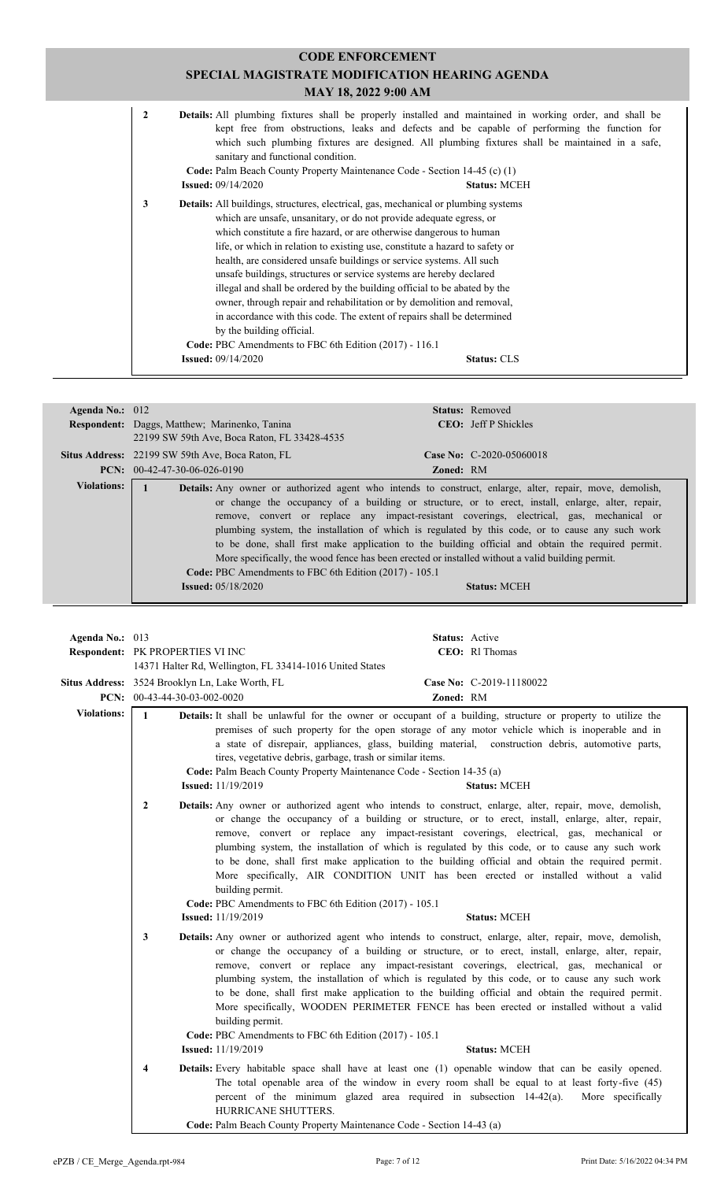| $\mathbf{2}$ | sanitary and functional condition.                                                                                                                                                                      | Details: All plumbing fixtures shall be properly installed and maintained in working order, and shall be<br>kept free from obstructions, leaks and defects and be capable of performing the function for<br>which such plumbing fixtures are designed. All plumbing fixtures shall be maintained in a safe,                                                                                                                                                                                                                                                                                                                       |
|--------------|---------------------------------------------------------------------------------------------------------------------------------------------------------------------------------------------------------|-----------------------------------------------------------------------------------------------------------------------------------------------------------------------------------------------------------------------------------------------------------------------------------------------------------------------------------------------------------------------------------------------------------------------------------------------------------------------------------------------------------------------------------------------------------------------------------------------------------------------------------|
|              | Code: Palm Beach County Property Maintenance Code - Section 14-45 (c) (1)<br><b>Issued:</b> 09/14/2020                                                                                                  | <b>Status: MCEH</b>                                                                                                                                                                                                                                                                                                                                                                                                                                                                                                                                                                                                               |
| 3            | Details: All buildings, structures, electrical, gas, mechanical or plumbing systems<br>by the building official.<br>Code: PBC Amendments to FBC 6th Edition (2017) - 116.1<br><b>Issued: 09/14/2020</b> | which are unsafe, unsanitary, or do not provide adequate egress, or<br>which constitute a fire hazard, or are otherwise dangerous to human<br>life, or which in relation to existing use, constitute a hazard to safety or<br>health, are considered unsafe buildings or service systems. All such<br>unsafe buildings, structures or service systems are hereby declared<br>illegal and shall be ordered by the building official to be abated by the<br>owner, through repair and rehabilitation or by demolition and removal,<br>in accordance with this code. The extent of repairs shall be determined<br><b>Status: CLS</b> |

|                    | 22199 SW 59th Ave, Boca Raton, FL 33428-4535            |                                                                                                                 |
|--------------------|---------------------------------------------------------|-----------------------------------------------------------------------------------------------------------------|
|                    | <b>Situs Address:</b> 22199 SW 59th Ave, Boca Raton, FL | Case No: C-2020-05060018                                                                                        |
|                    | <b>PCN:</b> $00-42-47-30-06-026-0190$                   | <b>Zoned: RM</b>                                                                                                |
| <b>Violations:</b> |                                                         | <b>Details:</b> Any owner or authorized agent who intends to construct, enlarge, alter, repair, move, demolish, |
|                    |                                                         | or change the occupancy of a building or structure, or to erect, install, enlarge, alter, repair,               |
|                    |                                                         | remove, convert or replace any impact-resistant coverings, electrical, gas, mechanical or                       |
|                    |                                                         | plumbing system, the installation of which is regulated by this code, or to cause any such work                 |
|                    |                                                         | to be done, shall first make application to the building official and obtain the required permit.               |
|                    |                                                         | More specifically, the wood fence has been erected or installed without a valid building permit.                |
|                    | Code: PBC Amendments to FBC 6th Edition (2017) - 105.1  |                                                                                                                 |
|                    | <b>Issued:</b> $05/18/2020$                             | <b>Status: MCEH</b>                                                                                             |
|                    |                                                         |                                                                                                                 |

| Agenda No.: 013    | Respondent: PK PROPERTIES VI INC                                                  |                                                                                                                                                                                                                                                                                                                                                                                                                                                                                                                                                                                                                                                                                                                          | Status: Active<br>CEO: RI Thomas      |                   |
|--------------------|-----------------------------------------------------------------------------------|--------------------------------------------------------------------------------------------------------------------------------------------------------------------------------------------------------------------------------------------------------------------------------------------------------------------------------------------------------------------------------------------------------------------------------------------------------------------------------------------------------------------------------------------------------------------------------------------------------------------------------------------------------------------------------------------------------------------------|---------------------------------------|-------------------|
|                    | Situs Address: 3524 Brooklyn Ln, Lake Worth, FL<br>PCN: $00-43-44-30-03-002-0020$ | 14371 Halter Rd, Wellington, FL 33414-1016 United States                                                                                                                                                                                                                                                                                                                                                                                                                                                                                                                                                                                                                                                                 | Case No: C-2019-11180022<br>Zoned: RM |                   |
| <b>Violations:</b> | $\mathbf{1}$                                                                      | Details: It shall be unlawful for the owner or occupant of a building, structure or property to utilize the<br>premises of such property for the open storage of any motor vehicle which is inoperable and in<br>a state of disrepair, appliances, glass, building material, construction debris, automotive parts,<br>tires, vegetative debris, garbage, trash or similar items.<br>Code: Palm Beach County Property Maintenance Code - Section 14-35 (a)<br><b>Issued:</b> 11/19/2019                                                                                                                                                                                                                                  | <b>Status: MCEH</b>                   |                   |
| $\overline{2}$     |                                                                                   | Details: Any owner or authorized agent who intends to construct, enlarge, alter, repair, move, demolish,<br>or change the occupancy of a building or structure, or to erect, install, enlarge, alter, repair,<br>remove, convert or replace any impact-resistant coverings, electrical, gas, mechanical or<br>plumbing system, the installation of which is regulated by this code, or to cause any such work<br>to be done, shall first make application to the building official and obtain the required permit.<br>More specifically, AIR CONDITION UNIT has been erected or installed without a valid<br>building permit.<br>Code: PBC Amendments to FBC 6th Edition (2017) - 105.1<br><b>Issued:</b> 11/19/2019     | <b>Status: MCEH</b>                   |                   |
|                    | $\mathbf{3}$                                                                      | Details: Any owner or authorized agent who intends to construct, enlarge, alter, repair, move, demolish,<br>or change the occupancy of a building or structure, or to erect, install, enlarge, alter, repair,<br>remove, convert or replace any impact-resistant coverings, electrical, gas, mechanical or<br>plumbing system, the installation of which is regulated by this code, or to cause any such work<br>to be done, shall first make application to the building official and obtain the required permit.<br>More specifically, WOODEN PERIMETER FENCE has been erected or installed without a valid<br>building permit.<br>Code: PBC Amendments to FBC 6th Edition (2017) - 105.1<br><b>Issued:</b> 11/19/2019 | <b>Status: MCEH</b>                   |                   |
|                    | 4                                                                                 | <b>Details:</b> Every habitable space shall have at least one (1) openable window that can be easily opened.<br>The total openable area of the window in every room shall be equal to at least forty-five (45)<br>percent of the minimum glazed area required in subsection 14-42(a).<br>HURRICANE SHUTTERS.<br>Code: Palm Beach County Property Maintenance Code - Section 14-43 (a)                                                                                                                                                                                                                                                                                                                                    |                                       | More specifically |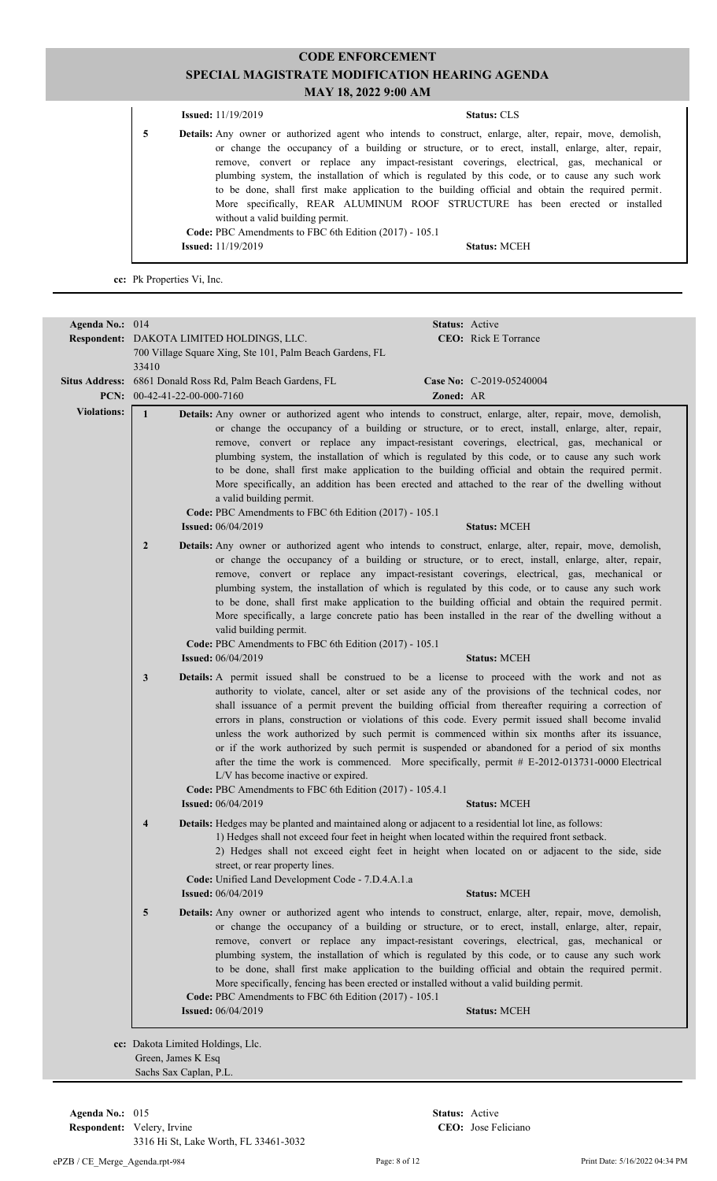| <b>Issued:</b> $11/19/2019$                                                                     | <b>Status: CLS</b>                                                                                                                                                                                                                                                                                                                                                                                                                                                                                                                                                                                         |
|-------------------------------------------------------------------------------------------------|------------------------------------------------------------------------------------------------------------------------------------------------------------------------------------------------------------------------------------------------------------------------------------------------------------------------------------------------------------------------------------------------------------------------------------------------------------------------------------------------------------------------------------------------------------------------------------------------------------|
| 5<br>without a valid building permit.<br>Code: PBC Amendments to FBC 6th Edition (2017) - 105.1 | <b>Details:</b> Any owner or authorized agent who intends to construct, enlarge, alter, repair, move, demolish,<br>or change the occupancy of a building or structure, or to erect, install, enlarge, alter, repair,<br>remove, convert or replace any impact-resistant coverings, electrical, gas, mechanical or<br>plumbing system, the installation of which is regulated by this code, or to cause any such work<br>to be done, shall first make application to the building official and obtain the required permit.<br>More specifically, REAR ALUMINUM ROOF STRUCTURE has been erected or installed |
| <b>Issued:</b> $11/19/2019$                                                                     | <b>Status: MCEH</b>                                                                                                                                                                                                                                                                                                                                                                                                                                                                                                                                                                                        |

**cc:** Pk Properties Vi, Inc.

| Agenda No.: 014    | 33410                   | Respondent: DAKOTA LIMITED HOLDINGS, LLC.<br>700 Village Square Xing, Ste 101, Palm Beach Gardens, FL                                                                                                                                                                                                                                | Status: Active | <b>CEO:</b> Rick E Torrance                                                                                                                                                                                                                                                                                                                                                                                                                                                                                                                                                                                                               |
|--------------------|-------------------------|--------------------------------------------------------------------------------------------------------------------------------------------------------------------------------------------------------------------------------------------------------------------------------------------------------------------------------------|----------------|-------------------------------------------------------------------------------------------------------------------------------------------------------------------------------------------------------------------------------------------------------------------------------------------------------------------------------------------------------------------------------------------------------------------------------------------------------------------------------------------------------------------------------------------------------------------------------------------------------------------------------------------|
|                    |                         | Situs Address: 6861 Donald Ross Rd, Palm Beach Gardens, FL<br>PCN: $00-42-41-22-00-000-7160$                                                                                                                                                                                                                                         | Zoned: AR      | Case No: C-2019-05240004                                                                                                                                                                                                                                                                                                                                                                                                                                                                                                                                                                                                                  |
| <b>Violations:</b> | $\mathbf{1}$            | Details: Any owner or authorized agent who intends to construct, enlarge, alter, repair, move, demolish,<br>a valid building permit.<br>Code: PBC Amendments to FBC 6th Edition (2017) - 105.1<br><b>Issued:</b> 06/04/2019                                                                                                          |                | or change the occupancy of a building or structure, or to erect, install, enlarge, alter, repair,<br>remove, convert or replace any impact-resistant coverings, electrical, gas, mechanical or<br>plumbing system, the installation of which is regulated by this code, or to cause any such work<br>to be done, shall first make application to the building official and obtain the required permit.<br>More specifically, an addition has been erected and attached to the rear of the dwelling without<br><b>Status: MCEH</b>                                                                                                         |
|                    | $\overline{2}$          | <b>Details:</b> Any owner or authorized agent who intends to construct, enlarge, alter, repair, move, demolish,<br>valid building permit.<br>Code: PBC Amendments to FBC 6th Edition (2017) - 105.1<br><b>Issued:</b> 06/04/2019                                                                                                     |                | or change the occupancy of a building or structure, or to erect, install, enlarge, alter, repair,<br>remove, convert or replace any impact-resistant coverings, electrical, gas, mechanical or<br>plumbing system, the installation of which is regulated by this code, or to cause any such work<br>to be done, shall first make application to the building official and obtain the required permit.<br>More specifically, a large concrete patio has been installed in the rear of the dwelling without a<br><b>Status: MCEH</b>                                                                                                       |
|                    | 3                       | <b>Details:</b> A permit issued shall be construed to be a license to proceed with the work and not as<br>L/V has become inactive or expired.<br>Code: PBC Amendments to FBC 6th Edition (2017) - 105.4.1<br><b>Issued:</b> 06/04/2019                                                                                               |                | authority to violate, cancel, alter or set aside any of the provisions of the technical codes, nor<br>shall issuance of a permit prevent the building official from thereafter requiring a correction of<br>errors in plans, construction or violations of this code. Every permit issued shall become invalid<br>unless the work authorized by such permit is commenced within six months after its issuance,<br>or if the work authorized by such permit is suspended or abandoned for a period of six months<br>after the time the work is commenced. More specifically, permit # E-2012-013731-0000 Electrical<br><b>Status: MCEH</b> |
|                    | $\overline{\mathbf{4}}$ | <b>Details:</b> Hedges may be planted and maintained along or adjacent to a residential lot line, as follows:<br>1) Hedges shall not exceed four feet in height when located within the required front setback.<br>street, or rear property lines.<br>Code: Unified Land Development Code - 7.D.4.A.1.a<br><b>Issued: 06/04/2019</b> |                | 2) Hedges shall not exceed eight feet in height when located on or adjacent to the side, side<br><b>Status: MCEH</b>                                                                                                                                                                                                                                                                                                                                                                                                                                                                                                                      |
|                    | 5                       | Details: Any owner or authorized agent who intends to construct, enlarge, alter, repair, move, demolish,<br>More specifically, fencing has been erected or installed without a valid building permit.<br>Code: PBC Amendments to FBC 6th Edition (2017) - 105.1<br><b>Issued:</b> 06/04/2019                                         |                | or change the occupancy of a building or structure, or to erect, install, enlarge, alter, repair,<br>remove, convert or replace any impact-resistant coverings, electrical, gas, mechanical or<br>plumbing system, the installation of which is regulated by this code, or to cause any such work<br>to be done, shall first make application to the building official and obtain the required permit.<br><b>Status: MCEH</b>                                                                                                                                                                                                             |
|                    |                         | cc: Dakota Limited Holdings, Llc.<br>Green, James K Esq                                                                                                                                                                                                                                                                              |                |                                                                                                                                                                                                                                                                                                                                                                                                                                                                                                                                                                                                                                           |

Sachs Sax Caplan, P.L.

**Respondent:** Velery, Irvine **Agenda No.:** 015 **Status:** Active 3316 Hi St, Lake Worth, FL 33461-3032

CEO: Jose Feliciano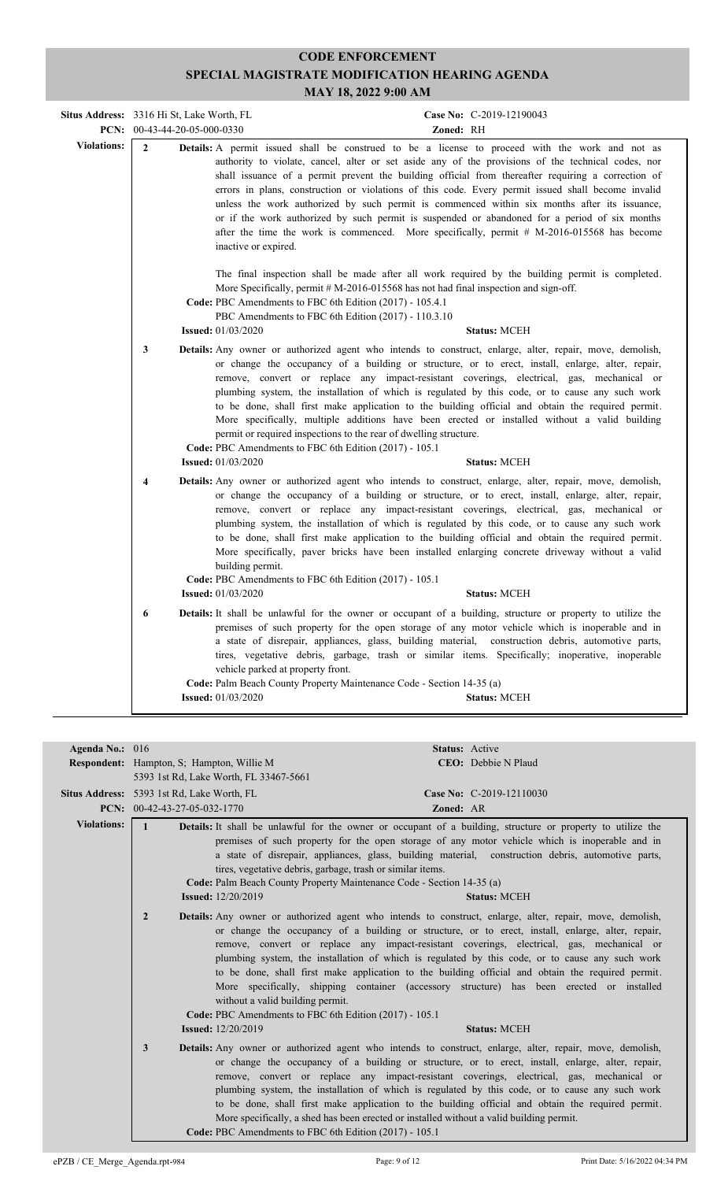| <b>Situs Address:</b> 3316 Hi St, Lake Worth, FL | PCN: $00-43-44-20-05-000-0330$ |                                                                                                                                                                                                                                       | Case No: C-2019-12190043<br>Zoned: RH                                                                                                                                                                                                                                                                                                                                                                                                                                                                                                                                                                                                                                                                            |
|--------------------------------------------------|--------------------------------|---------------------------------------------------------------------------------------------------------------------------------------------------------------------------------------------------------------------------------------|------------------------------------------------------------------------------------------------------------------------------------------------------------------------------------------------------------------------------------------------------------------------------------------------------------------------------------------------------------------------------------------------------------------------------------------------------------------------------------------------------------------------------------------------------------------------------------------------------------------------------------------------------------------------------------------------------------------|
| <b>Violations:</b>                               | $\overline{2}$                 | inactive or expired.                                                                                                                                                                                                                  | Details: A permit issued shall be construed to be a license to proceed with the work and not as<br>authority to violate, cancel, alter or set aside any of the provisions of the technical codes, nor<br>shall issuance of a permit prevent the building official from thereafter requiring a correction of<br>errors in plans, construction or violations of this code. Every permit issued shall become invalid<br>unless the work authorized by such permit is commenced within six months after its issuance,<br>or if the work authorized by such permit is suspended or abandoned for a period of six months<br>after the time the work is commenced. More specifically, permit # M-2016-015568 has become |
|                                                  |                                | More Specifically, permit $#M-2016-015568$ has not had final inspection and sign-off.<br>Code: PBC Amendments to FBC 6th Edition (2017) - 105.4.1<br>PBC Amendments to FBC 6th Edition (2017) - 110.3.10<br><b>Issued:</b> 01/03/2020 | The final inspection shall be made after all work required by the building permit is completed.<br><b>Status: MCEH</b>                                                                                                                                                                                                                                                                                                                                                                                                                                                                                                                                                                                           |
|                                                  | 3                              | permit or required inspections to the rear of dwelling structure.<br>Code: PBC Amendments to FBC 6th Edition (2017) - 105.1<br><b>Issued:</b> 01/03/2020                                                                              | <b>Details:</b> Any owner or authorized agent who intends to construct, enlarge, alter, repair, move, demolish,<br>or change the occupancy of a building or structure, or to erect, install, enlarge, alter, repair,<br>remove, convert or replace any impact-resistant coverings, electrical, gas, mechanical or<br>plumbing system, the installation of which is regulated by this code, or to cause any such work<br>to be done, shall first make application to the building official and obtain the required permit.<br>More specifically, multiple additions have been erected or installed without a valid building<br><b>Status: MCEH</b>                                                                |
|                                                  | $\overline{\mathbf{4}}$        | building permit.<br>Code: PBC Amendments to FBC 6th Edition (2017) - 105.1<br><b>Issued:</b> 01/03/2020                                                                                                                               | <b>Details:</b> Any owner or authorized agent who intends to construct, enlarge, alter, repair, move, demolish,<br>or change the occupancy of a building or structure, or to erect, install, enlarge, alter, repair,<br>remove, convert or replace any impact-resistant coverings, electrical, gas, mechanical or<br>plumbing system, the installation of which is regulated by this code, or to cause any such work<br>to be done, shall first make application to the building official and obtain the required permit.<br>More specifically, paver bricks have been installed enlarging concrete driveway without a valid<br><b>Status: MCEH</b>                                                              |
|                                                  | 6                              | vehicle parked at property front.<br>Code: Palm Beach County Property Maintenance Code - Section 14-35 (a)<br><b>Issued:</b> $01/03/2020$                                                                                             | <b>Details:</b> It shall be unlawful for the owner or occupant of a building, structure or property to utilize the<br>premises of such property for the open storage of any motor vehicle which is inoperable and in<br>a state of disrepair, appliances, glass, building material, construction debris, automotive parts,<br>tires, vegetative debris, garbage, trash or similar items. Specifically; inoperative, inoperable<br><b>Status: MCEH</b>                                                                                                                                                                                                                                                            |

| Agenda No.: 016    |                                                                                                                                           | Status: Active                                                                                                                                                                                                                                                                                                                                                                                                                                                                                                                                                                                                                                |
|--------------------|-------------------------------------------------------------------------------------------------------------------------------------------|-----------------------------------------------------------------------------------------------------------------------------------------------------------------------------------------------------------------------------------------------------------------------------------------------------------------------------------------------------------------------------------------------------------------------------------------------------------------------------------------------------------------------------------------------------------------------------------------------------------------------------------------------|
|                    | <b>Respondent:</b> Hampton, S; Hampton, Willie M                                                                                          | CEO: Debbie N Plaud                                                                                                                                                                                                                                                                                                                                                                                                                                                                                                                                                                                                                           |
|                    | 5393 1st Rd, Lake Worth, FL 33467-5661                                                                                                    |                                                                                                                                                                                                                                                                                                                                                                                                                                                                                                                                                                                                                                               |
|                    | Situs Address: 5393 1st Rd, Lake Worth, FL                                                                                                | Case No: C-2019-12110030                                                                                                                                                                                                                                                                                                                                                                                                                                                                                                                                                                                                                      |
|                    | PCN: $00-42-43-27-05-032-1770$                                                                                                            | Zoned: AR                                                                                                                                                                                                                                                                                                                                                                                                                                                                                                                                                                                                                                     |
| <b>Violations:</b> | $\mathbf{1}$                                                                                                                              | Details: It shall be unlawful for the owner or occupant of a building, structure or property to utilize the                                                                                                                                                                                                                                                                                                                                                                                                                                                                                                                                   |
|                    | tires, vegetative debris, garbage, trash or similar items.                                                                                | premises of such property for the open storage of any motor vehicle which is inoperable and in<br>a state of disrepair, appliances, glass, building material, construction debris, automotive parts,                                                                                                                                                                                                                                                                                                                                                                                                                                          |
|                    |                                                                                                                                           | Code: Palm Beach County Property Maintenance Code - Section 14-35 (a)                                                                                                                                                                                                                                                                                                                                                                                                                                                                                                                                                                         |
|                    | <b>Issued:</b> 12/20/2019                                                                                                                 | <b>Status: MCEH</b>                                                                                                                                                                                                                                                                                                                                                                                                                                                                                                                                                                                                                           |
|                    | $\overline{2}$<br>without a valid building permit.<br>Code: PBC Amendments to FBC 6th Edition (2017) - 105.1<br><b>Issued:</b> 12/20/2019 | <b>Details:</b> Any owner or authorized agent who intends to construct, enlarge, alter, repair, move, demolish,<br>or change the occupancy of a building or structure, or to erect, install, enlarge, alter, repair,<br>remove, convert or replace any impact-resistant coverings, electrical, gas, mechanical or<br>plumbing system, the installation of which is regulated by this code, or to cause any such work<br>to be done, shall first make application to the building official and obtain the required permit.<br>More specifically, shipping container (accessory structure) has been erected or installed<br><b>Status: MCEH</b> |
|                    | 3<br>Code: PBC Amendments to FBC 6th Edition (2017) - 105.1                                                                               | Details: Any owner or authorized agent who intends to construct, enlarge, alter, repair, move, demolish,<br>or change the occupancy of a building or structure, or to erect, install, enlarge, alter, repair,<br>remove, convert or replace any impact-resistant coverings, electrical, gas, mechanical or<br>plumbing system, the installation of which is regulated by this code, or to cause any such work<br>to be done, shall first make application to the building official and obtain the required permit.<br>More specifically, a shed has been erected or installed without a valid building permit.                                |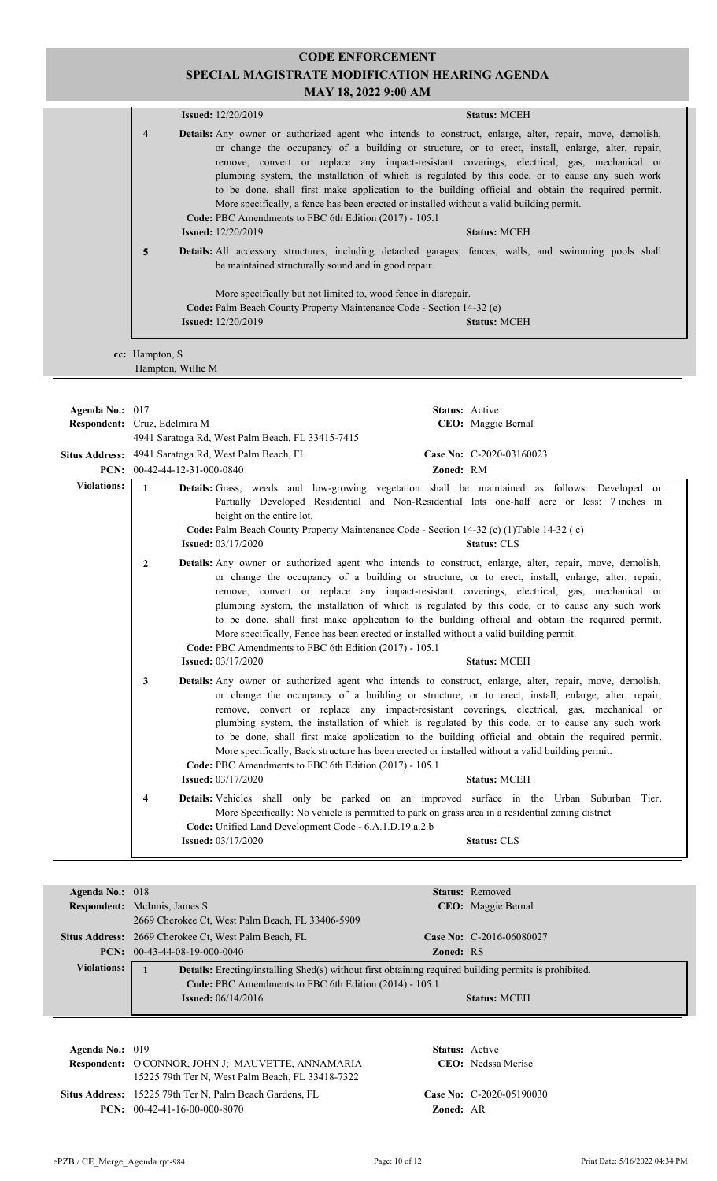## **CODE ENFORCEMENT SPECIAL MAGISTRATE MODIFICATION HEARING AGENDA**

| MAY 18, 2022 9:00 AM                                                                                                                                                                                              |                                       |                                                                                                                                                                                                                                                                                                                                                                                                                                                                                                                                                                                                                                                                                                               |                                       |
|-------------------------------------------------------------------------------------------------------------------------------------------------------------------------------------------------------------------|---------------------------------------|---------------------------------------------------------------------------------------------------------------------------------------------------------------------------------------------------------------------------------------------------------------------------------------------------------------------------------------------------------------------------------------------------------------------------------------------------------------------------------------------------------------------------------------------------------------------------------------------------------------------------------------------------------------------------------------------------------------|---------------------------------------|
|                                                                                                                                                                                                                   |                                       | <b>Issued:</b> 12/20/2019                                                                                                                                                                                                                                                                                                                                                                                                                                                                                                                                                                                                                                                                                     | <b>Status: MCEH</b>                   |
|                                                                                                                                                                                                                   | $\overline{\mathbf{4}}$               | Details: Any owner or authorized agent who intends to construct, enlarge, alter, repair, move, demolish,<br>or change the occupancy of a building or structure, or to erect, install, enlarge, alter, repair,<br>remove, convert or replace any impact-resistant coverings, electrical, gas, mechanical or<br>plumbing system, the installation of which is regulated by this code, or to cause any such work<br>to be done, shall first make application to the building official and obtain the required permit.<br>More specifically, a fence has been erected or installed without a valid building permit.<br>Code: PBC Amendments to FBC 6th Edition (2017) - 105.1<br><b>Issued:</b> 12/20/2019        | <b>Status: MCEH</b>                   |
|                                                                                                                                                                                                                   | 5                                     | Details: All accessory structures, including detached garages, fences, walls, and swimming pools shall<br>be maintained structurally sound and in good repair.<br>More specifically but not limited to, wood fence in disrepair.                                                                                                                                                                                                                                                                                                                                                                                                                                                                              |                                       |
|                                                                                                                                                                                                                   |                                       | Code: Palm Beach County Property Maintenance Code - Section 14-32 (e)<br><b>Issued:</b> 12/20/2019                                                                                                                                                                                                                                                                                                                                                                                                                                                                                                                                                                                                            | <b>Status: MCEH</b>                   |
|                                                                                                                                                                                                                   | cc: Hampton, S<br>Hampton, Willie M   |                                                                                                                                                                                                                                                                                                                                                                                                                                                                                                                                                                                                                                                                                                               |                                       |
|                                                                                                                                                                                                                   |                                       |                                                                                                                                                                                                                                                                                                                                                                                                                                                                                                                                                                                                                                                                                                               |                                       |
| Agenda No.: 017                                                                                                                                                                                                   |                                       |                                                                                                                                                                                                                                                                                                                                                                                                                                                                                                                                                                                                                                                                                                               | Status: Active                        |
|                                                                                                                                                                                                                   | Respondent: Cruz, Edelmira M          |                                                                                                                                                                                                                                                                                                                                                                                                                                                                                                                                                                                                                                                                                                               | CEO: Maggie Bernal                    |
|                                                                                                                                                                                                                   |                                       | 4941 Saratoga Rd, West Palm Beach, FL 33415-7415                                                                                                                                                                                                                                                                                                                                                                                                                                                                                                                                                                                                                                                              |                                       |
|                                                                                                                                                                                                                   | <b>PCN:</b> $00-42-44-12-31-000-0840$ | Situs Address: 4941 Saratoga Rd, West Palm Beach, FL                                                                                                                                                                                                                                                                                                                                                                                                                                                                                                                                                                                                                                                          | Case No: C-2020-03160023<br>Zoned: RM |
| <b>Violations:</b>                                                                                                                                                                                                |                                       |                                                                                                                                                                                                                                                                                                                                                                                                                                                                                                                                                                                                                                                                                                               |                                       |
|                                                                                                                                                                                                                   | $\mathbf{1}$                          | Details: Grass, weeds and low-growing vegetation shall be maintained as follows: Developed or<br>Partially Developed Residential and Non-Residential lots one-half acre or less: 7 inches in<br>height on the entire lot.<br>Code: Palm Beach County Property Maintenance Code - Section 14-32 (c) (1)Table 14-32 (c)<br><b>Issued:</b> 03/17/2020                                                                                                                                                                                                                                                                                                                                                            | <b>Status: CLS</b>                    |
| Details: Any owner or authorized agent who intends to construct, enlarge, alter, repair, move, demolish,<br>$\overline{2}$<br>Code: PBC Amendments to FBC 6th Edition (2017) - 105.1<br><b>Issued: 03/17/2020</b> |                                       | or change the occupancy of a building or structure, or to erect, install, enlarge, alter, repair,<br>remove, convert or replace any impact-resistant coverings, electrical, gas, mechanical or<br>plumbing system, the installation of which is regulated by this code, or to cause any such work<br>to be done, shall first make application to the building official and obtain the required permit.<br>More specifically, Fence has been erected or installed without a valid building permit.                                                                                                                                                                                                             | <b>Status: MCEH</b>                   |
|                                                                                                                                                                                                                   | 3                                     | Details: Any owner or authorized agent who intends to construct, enlarge, alter, repair, move, demolish,<br>or change the occupancy of a building or structure, or to erect, install, enlarge, alter, repair,<br>remove, convert or replace any impact-resistant coverings, electrical, gas, mechanical or<br>plumbing system, the installation of which is regulated by this code, or to cause any such work<br>to be done, shall first make application to the building official and obtain the required permit.<br>More specifically, Back structure has been erected or installed without a valid building permit.<br>Code: PBC Amendments to FBC 6th Edition (2017) - 105.1<br><b>Issued: 03/17/2020</b> | <b>Status: MCEH</b>                   |
|                                                                                                                                                                                                                   | 4                                     | Details: Vehicles shall only be parked on an improved surface in the Urban Suburban Tier.<br>More Specifically: No vehicle is permitted to park on grass area in a residential zoning district<br>Code: Unified Land Development Code - 6.A.1.D.19.a.2.b<br><b>Issued: 03/17/2020</b>                                                                                                                                                                                                                                                                                                                                                                                                                         | Status: CLS                           |

| Agenda No.: $018$  |                                                                                                              |                  | <b>Status:</b> Removed          |
|--------------------|--------------------------------------------------------------------------------------------------------------|------------------|---------------------------------|
|                    | <b>Respondent:</b> McInnis, James S                                                                          |                  | <b>CEO</b> : Maggie Bernal      |
|                    | 2669 Cherokee Ct, West Palm Beach, FL 33406-5909                                                             |                  |                                 |
|                    | <b>Situs Address:</b> 2669 Cherokee Ct, West Palm Beach, FL                                                  |                  | <b>Case No:</b> C-2016-06080027 |
|                    | <b>PCN:</b> $00-43-44-08-19-000-0040$                                                                        | <b>Zoned: RS</b> |                                 |
| <b>Violations:</b> | <b>Details:</b> Erecting/installing Shed(s) without first obtaining required building permits is prohibited. |                  |                                 |
|                    | Code: PBC Amendments to FBC 6th Edition (2014) - 105.1                                                       |                  |                                 |
|                    | <b>Issued:</b> $06/14/2016$                                                                                  |                  | <b>Status: MCEH</b>             |
|                    |                                                                                                              |                  |                                 |

**Respondent:** O'CONNOR, JOHN J; MAUVETTE, ANNAMARIA **Agenda No.:** 019 **Status:** Active CEO: Nedssa Merise 15225 79th Ter N, West Palm Beach, FL 33418-7322 Situs Address: 15225 79th Ter N, Palm Beach Gardens, FL **Case No:** C-2020-05190030 **PCN:** 00-42-41-16-00-000-8070 **Zoned:** AR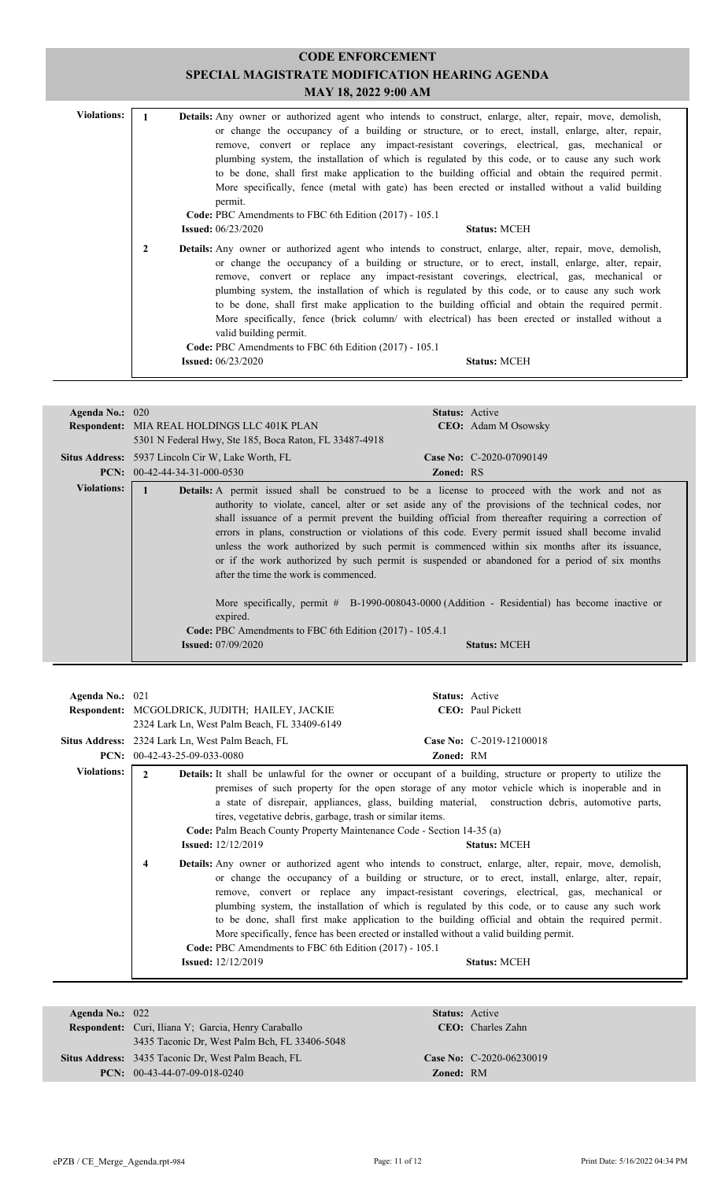| <b>Violations:</b>                                                                                           |              |                                                                                       | <b>Details:</b> Any owner or authorized agent who intends to construct, enlarge, alter, repair, move, demolish,                                                                                                                                                                                                                                                                                                                                                                                                                                                                                                        |  |
|--------------------------------------------------------------------------------------------------------------|--------------|---------------------------------------------------------------------------------------|------------------------------------------------------------------------------------------------------------------------------------------------------------------------------------------------------------------------------------------------------------------------------------------------------------------------------------------------------------------------------------------------------------------------------------------------------------------------------------------------------------------------------------------------------------------------------------------------------------------------|--|
|                                                                                                              |              |                                                                                       | or change the occupancy of a building or structure, or to erect, install, enlarge, alter, repair,                                                                                                                                                                                                                                                                                                                                                                                                                                                                                                                      |  |
|                                                                                                              |              |                                                                                       | remove, convert or replace any impact-resistant coverings, electrical, gas, mechanical or                                                                                                                                                                                                                                                                                                                                                                                                                                                                                                                              |  |
|                                                                                                              |              |                                                                                       | plumbing system, the installation of which is regulated by this code, or to cause any such work                                                                                                                                                                                                                                                                                                                                                                                                                                                                                                                        |  |
|                                                                                                              |              |                                                                                       | to be done, shall first make application to the building official and obtain the required permit.                                                                                                                                                                                                                                                                                                                                                                                                                                                                                                                      |  |
| More specifically, fence (metal with gate) has been erected or installed without a valid building<br>permit. |              |                                                                                       |                                                                                                                                                                                                                                                                                                                                                                                                                                                                                                                                                                                                                        |  |
|                                                                                                              |              | Code: PBC Amendments to FBC 6th Edition (2017) - 105.1                                |                                                                                                                                                                                                                                                                                                                                                                                                                                                                                                                                                                                                                        |  |
|                                                                                                              |              | <b>Issued:</b> $06/23/2020$                                                           | <b>Status: MCEH</b>                                                                                                                                                                                                                                                                                                                                                                                                                                                                                                                                                                                                    |  |
|                                                                                                              | $\mathbf{2}$ |                                                                                       | Details: Any owner or authorized agent who intends to construct, enlarge, alter, repair, move, demolish,<br>or change the occupancy of a building or structure, or to erect, install, enlarge, alter, repair,<br>remove, convert or replace any impact-resistant coverings, electrical, gas, mechanical or<br>plumbing system, the installation of which is regulated by this code, or to cause any such work<br>to be done, shall first make application to the building official and obtain the required permit.<br>More specifically, fence (brick column/ with electrical) has been erected or installed without a |  |
|                                                                                                              |              | valid building permit.                                                                |                                                                                                                                                                                                                                                                                                                                                                                                                                                                                                                                                                                                                        |  |
|                                                                                                              |              | Code: PBC Amendments to FBC 6th Edition (2017) - 105.1<br><b>Issued:</b> $06/23/2020$ | <b>Status: MCEH</b>                                                                                                                                                                                                                                                                                                                                                                                                                                                                                                                                                                                                    |  |

| Agenda No.: 020    |                                                                                                                                            | <b>Status:</b> Active                                                                                                                                                                                                                                                                                                                                                                                                                                                                                                                                                                                                                                                                                                                               |
|--------------------|--------------------------------------------------------------------------------------------------------------------------------------------|-----------------------------------------------------------------------------------------------------------------------------------------------------------------------------------------------------------------------------------------------------------------------------------------------------------------------------------------------------------------------------------------------------------------------------------------------------------------------------------------------------------------------------------------------------------------------------------------------------------------------------------------------------------------------------------------------------------------------------------------------------|
|                    | <b>Respondent:</b> MIA REAL HOLDINGS LLC 401K PLAN                                                                                         | <b>CEO:</b> Adam M Osowsky                                                                                                                                                                                                                                                                                                                                                                                                                                                                                                                                                                                                                                                                                                                          |
|                    | 5301 N Federal Hwy, Ste 185, Boca Raton, FL 33487-4918                                                                                     |                                                                                                                                                                                                                                                                                                                                                                                                                                                                                                                                                                                                                                                                                                                                                     |
|                    | <b>Situs Address:</b> 5937 Lincoln Cir W, Lake Worth, FL                                                                                   | Case No: $C-2020-07090149$                                                                                                                                                                                                                                                                                                                                                                                                                                                                                                                                                                                                                                                                                                                          |
|                    | <b>PCN:</b> $00-42-44-34-31-000-0530$                                                                                                      | <b>Zoned: RS</b>                                                                                                                                                                                                                                                                                                                                                                                                                                                                                                                                                                                                                                                                                                                                    |
| <b>Violations:</b> | after the time the work is commenced.<br>expired.<br>Code: PBC Amendments to FBC 6th Edition (2017) - 105.4.1<br><b>Issued:</b> 07/09/2020 | Details: A permit issued shall be construed to be a license to proceed with the work and not as<br>authority to violate, cancel, alter or set aside any of the provisions of the technical codes, nor<br>shall issuance of a permit prevent the building official from thereafter requiring a correction of<br>errors in plans, construction or violations of this code. Every permit issued shall become invalid<br>unless the work authorized by such permit is commenced within six months after its issuance,<br>or if the work authorized by such permit is suspended or abandoned for a period of six months<br>More specifically, permit $# \text{B-1990-008043-0000 (Addition - Residental) has become inactive or}$<br><b>Status: MCEH</b> |
|                    |                                                                                                                                            |                                                                                                                                                                                                                                                                                                                                                                                                                                                                                                                                                                                                                                                                                                                                                     |

| Agenda No.: $021$  |                                                                                                                                      | <b>Status:</b> Active                                                                                                                                                                                                                                                                                                                                                                                                                                                                                                                                                                                                                       |  |
|--------------------|--------------------------------------------------------------------------------------------------------------------------------------|---------------------------------------------------------------------------------------------------------------------------------------------------------------------------------------------------------------------------------------------------------------------------------------------------------------------------------------------------------------------------------------------------------------------------------------------------------------------------------------------------------------------------------------------------------------------------------------------------------------------------------------------|--|
|                    | <b>Respondent:</b> MCGOLDRICK, JUDITH; HAILEY, JACKIE                                                                                | <b>CEO</b> : Paul Pickett                                                                                                                                                                                                                                                                                                                                                                                                                                                                                                                                                                                                                   |  |
|                    | 2324 Lark Ln, West Palm Beach, FL 33409-6149                                                                                         |                                                                                                                                                                                                                                                                                                                                                                                                                                                                                                                                                                                                                                             |  |
|                    | Situs Address: 2324 Lark Ln, West Palm Beach, FL                                                                                     | Case No: C-2019-12100018                                                                                                                                                                                                                                                                                                                                                                                                                                                                                                                                                                                                                    |  |
|                    | <b>PCN:</b> $00-42-43-25-09-033-0080$                                                                                                | <b>Zoned: RM</b>                                                                                                                                                                                                                                                                                                                                                                                                                                                                                                                                                                                                                            |  |
| <b>Violations:</b> | <b>Details:</b> It shall be unlawful for the owner or occupant of a building, structure or property to utilize the<br>$\mathfrak{D}$ |                                                                                                                                                                                                                                                                                                                                                                                                                                                                                                                                                                                                                                             |  |
|                    | tires, vegetative debris, garbage, trash or similar items.<br>Code: Palm Beach County Property Maintenance Code - Section 14-35 (a)  | premises of such property for the open storage of any motor vehicle which is inoperable and in<br>a state of disrepair, appliances, glass, building material, construction debris, automotive parts,                                                                                                                                                                                                                                                                                                                                                                                                                                        |  |
|                    | <b>Issued:</b> $12/12/2019$                                                                                                          | <b>Status: MCEH</b>                                                                                                                                                                                                                                                                                                                                                                                                                                                                                                                                                                                                                         |  |
|                    | 4<br>Code: PBC Amendments to FBC 6th Edition (2017) - 105.1<br><b>Issued:</b> $12/12/2019$                                           | <b>Details:</b> Any owner or authorized agent who intends to construct, enlarge, alter, repair, move, demolish,<br>or change the occupancy of a building or structure, or to erect, install, enlarge, alter, repair,<br>remove, convert or replace any impact-resistant coverings, electrical, gas, mechanical or<br>plumbing system, the installation of which is regulated by this code, or to cause any such work<br>to be done, shall first make application to the building official and obtain the required permit.<br>More specifically, fence has been erected or installed without a valid building permit.<br><b>Status: MCEH</b> |  |

| Agenda No.: $022$ |                                                            | <b>Status:</b> Active     |                            |  |
|-------------------|------------------------------------------------------------|---------------------------|----------------------------|--|
|                   | <b>Respondent:</b> Curi, Iliana Y; Garcia, Henry Caraballo | <b>CEO</b> : Charles Zahn |                            |  |
|                   | 3435 Taconic Dr. West Palm Bch, FL 33406-5048              |                           |                            |  |
|                   | Situs Address: 3435 Taconic Dr. West Palm Beach, FL        |                           | Case No: $C-2020-06230019$ |  |
|                   | <b>PCN:</b> $00-43-44-07-09-018-0240$                      | <b>Zoned: RM</b>          |                            |  |